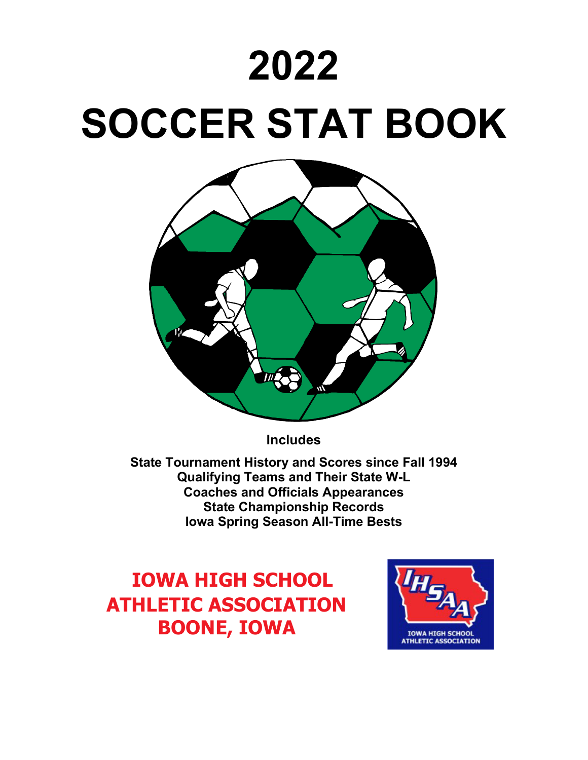# **2022**

# **SOCCER STAT BOOK**



**Includes** 

**State Tournament History and Scores since Fall 1994 Qualifying Teams and Their State W-L Coaches and Officials Appearances State Championship Records Iowa Spring Season All-Time Bests**

# **IOWA HIGH SCHOOL ATHLETIC ASSOCIATION BOONE, IOWA**

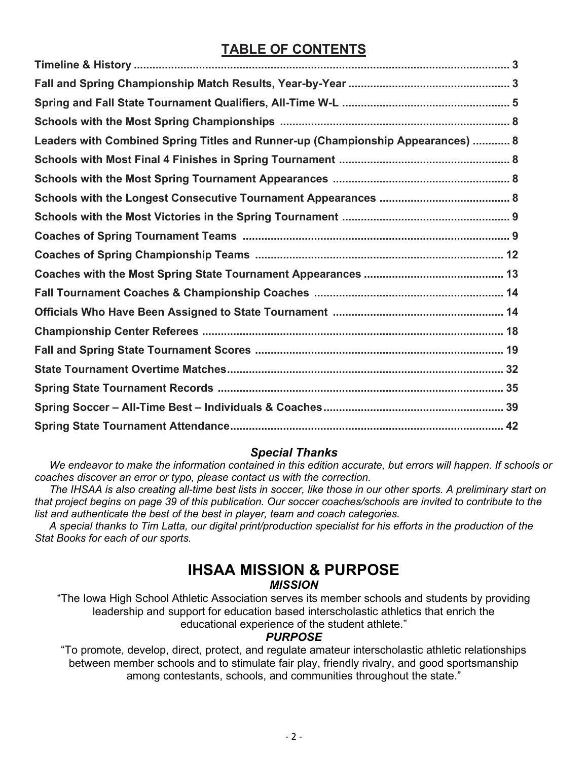## **TABLE OF CONTENTS**

| Leaders with Combined Spring Titles and Runner-up (Championship Appearances)  8 |
|---------------------------------------------------------------------------------|
|                                                                                 |
|                                                                                 |
|                                                                                 |
|                                                                                 |
|                                                                                 |
|                                                                                 |
|                                                                                 |
|                                                                                 |
|                                                                                 |
|                                                                                 |
|                                                                                 |
|                                                                                 |
|                                                                                 |
|                                                                                 |
|                                                                                 |

## *Special Thanks*

 *We endeavor to make the information contained in this edition accurate, but errors will happen. If schools or coaches discover an error or typo, please contact us with the correction.*

 *The IHSAA is also creating all-time best lists in soccer, like those in our other sports. A preliminary start on that project begins on page 39 of this publication. Our soccer coaches/schools are invited to contribute to the list and authenticate the best of the best in player, team and coach categories.* 

 *A special thanks to Tim Latta, our digital print/production specialist for his efforts in the production of the Stat Books for each of our sports.*

## **IHSAA MISSION & PURPOSE**

## *MISSION*

"The Iowa High School Athletic Association serves its member schools and students by providing leadership and support for education based interscholastic athletics that enrich the educational experience of the student athlete."

## *PURPOSE*

"To promote, develop, direct, protect, and regulate amateur interscholastic athletic relationships between member schools and to stimulate fair play, friendly rivalry, and good sportsmanship among contestants, schools, and communities throughout the state."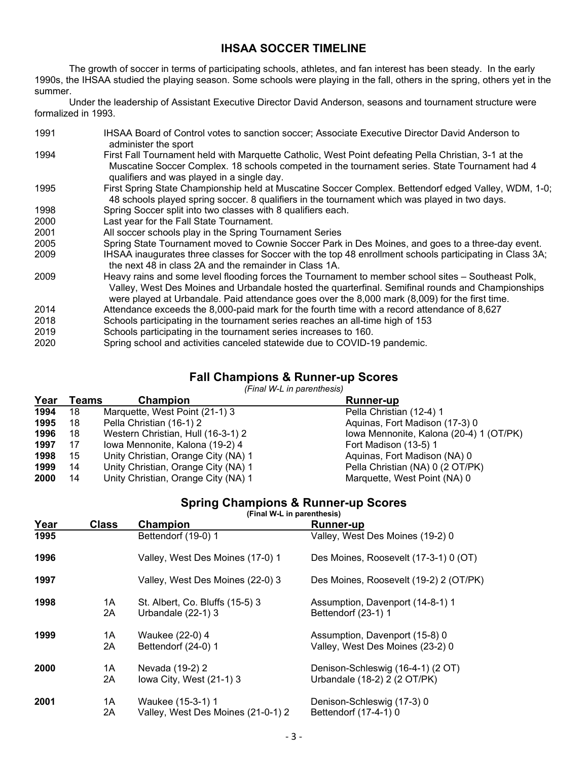## **IHSAA SOCCER TIMELINE**

The growth of soccer in terms of participating schools, athletes, and fan interest has been steady. In the early 1990s, the IHSAA studied the playing season. Some schools were playing in the fall, others in the spring, others yet in the summer.

Under the leadership of Assistant Executive Director David Anderson, seasons and tournament structure were formalized in 1993.

| 1991 | IHSAA Board of Control votes to sanction soccer; Associate Executive Director David Anderson to<br>administer the sport                                                                                                                                                                                   |
|------|-----------------------------------------------------------------------------------------------------------------------------------------------------------------------------------------------------------------------------------------------------------------------------------------------------------|
| 1994 | First Fall Tournament held with Marquette Catholic, West Point defeating Pella Christian, 3-1 at the<br>Muscatine Soccer Complex. 18 schools competed in the tournament series. State Tournament had 4<br>qualifiers and was played in a single day.                                                      |
| 1995 | First Spring State Championship held at Muscatine Soccer Complex. Bettendorf edged Valley, WDM, 1-0;<br>48 schools played spring soccer. 8 qualifiers in the tournament which was played in two days.                                                                                                     |
| 1998 | Spring Soccer split into two classes with 8 qualifiers each.                                                                                                                                                                                                                                              |
| 2000 | Last year for the Fall State Tournament.                                                                                                                                                                                                                                                                  |
| 2001 | All soccer schools play in the Spring Tournament Series                                                                                                                                                                                                                                                   |
| 2005 | Spring State Tournament moved to Cownie Soccer Park in Des Moines, and goes to a three-day event.                                                                                                                                                                                                         |
| 2009 | IHSAA inaugurates three classes for Soccer with the top 48 enrollment schools participating in Class 3A;<br>the next 48 in class 2A and the remainder in Class 1A.                                                                                                                                        |
| 2009 | Heavy rains and some level flooding forces the Tournament to member school sites – Southeast Polk,<br>Valley, West Des Moines and Urbandale hosted the quarterfinal. Semifinal rounds and Championships<br>were played at Urbandale. Paid attendance goes over the 8,000 mark (8,009) for the first time. |
| 2014 | Attendance exceeds the 8,000-paid mark for the fourth time with a record attendance of 8,627                                                                                                                                                                                                              |
| 2018 | Schools participating in the tournament series reaches an all-time high of 153                                                                                                                                                                                                                            |
| 2019 | Schools participating in the tournament series increases to 160.                                                                                                                                                                                                                                          |
| 2020 | Spring school and activities canceled statewide due to COVID-19 pandemic.                                                                                                                                                                                                                                 |

## **Fall Champions & Runner-up Scores**

*(Final W-L in parenthesis)*

| Year | Teams | <b>Champion</b>                     | <b>Runner-up</b>                        |
|------|-------|-------------------------------------|-----------------------------------------|
| 1994 | 18    | Marquette, West Point (21-1) 3      | Pella Christian (12-4) 1                |
| 1995 | 18    | Pella Christian (16-1) 2            | Aquinas, Fort Madison (17-3) 0          |
| 1996 | 18    | Western Christian, Hull (16-3-1) 2  | lowa Mennonite, Kalona (20-4) 1 (OT/PK) |
| 1997 | 17    | Iowa Mennonite, Kalona (19-2) 4     | Fort Madison (13-5) 1                   |
| 1998 | 15    | Unity Christian, Orange City (NA) 1 | Aquinas, Fort Madison (NA) 0            |
| 1999 | 14    | Unity Christian, Orange City (NA) 1 | Pella Christian (NA) 0 (2 OT/PK)        |
| 2000 | 14    | Unity Christian, Orange City (NA) 1 | Marquette, West Point (NA) 0            |

## **Spring Champions & Runner-up Scores**

**(Final W-L in parenthesis)**

| <u>Year</u> | <b>Class</b> | Champion                           | <b>Runner-up</b>                       |
|-------------|--------------|------------------------------------|----------------------------------------|
| 1995        |              | Bettendorf (19-0) 1                | Valley, West Des Moines (19-2) 0       |
| 1996        |              | Valley, West Des Moines (17-0) 1   | Des Moines, Roosevelt (17-3-1) 0 (OT)  |
| 1997        |              | Valley, West Des Moines (22-0) 3   | Des Moines, Roosevelt (19-2) 2 (OT/PK) |
| 1998        | 1A           | St. Albert, Co. Bluffs (15-5) 3    | Assumption, Davenport (14-8-1) 1       |
|             | 2A           | Urbandale (22-1) 3                 | Bettendorf (23-1) 1                    |
| 1999        | 1Α           | Waukee (22-0) 4                    | Assumption, Davenport (15-8) 0         |
|             | 2Α           | Bettendorf (24-0) 1                | Valley, West Des Moines (23-2) 0       |
| 2000        | 1A           | Nevada (19-2) 2                    | Denison-Schleswig (16-4-1) (2 OT)      |
|             | 2A           | lowa City, West (21-1) 3           | Urbandale (18-2) 2 (2 OT/PK)           |
| 2001        | 1Α           | Waukee (15-3-1) 1                  | Denison-Schleswig (17-3) 0             |
|             | 2Α           | Valley, West Des Moines (21-0-1) 2 | Bettendorf (17-4-1) 0                  |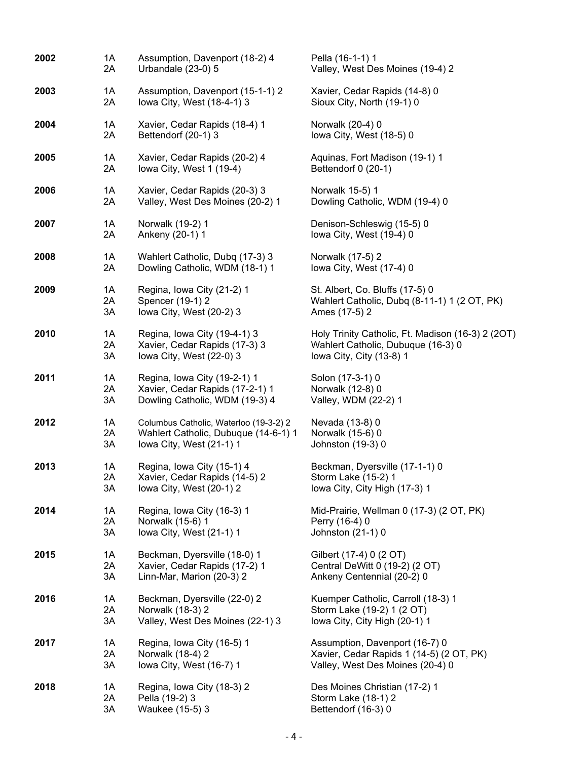| 2002 | 1A | Assumption, Davenport (18-2) 4         | Pella (16-1-1) 1                                  |
|------|----|----------------------------------------|---------------------------------------------------|
|      | 2A | Urbandale (23-0) 5                     | Valley, West Des Moines (19-4) 2                  |
| 2003 | 1A | Assumption, Davenport (15-1-1) 2       | Xavier, Cedar Rapids (14-8) 0                     |
|      | 2A | lowa City, West (18-4-1) 3             | Sioux City, North (19-1) 0                        |
| 2004 | 1A | Xavier, Cedar Rapids (18-4) 1          | Norwalk (20-4) 0                                  |
|      | 2A | Bettendorf (20-1) 3                    | lowa City, West (18-5) 0                          |
| 2005 | 1A | Xavier, Cedar Rapids (20-2) 4          | Aquinas, Fort Madison (19-1) 1                    |
|      | 2A | lowa City, West 1 (19-4)               | Bettendorf 0 (20-1)                               |
| 2006 | 1A | Xavier, Cedar Rapids (20-3) 3          | Norwalk 15-5) 1                                   |
|      | 2A | Valley, West Des Moines (20-2) 1       | Dowling Catholic, WDM (19-4) 0                    |
| 2007 | 1A | Norwalk (19-2) 1                       | Denison-Schleswig (15-5) 0                        |
|      | 2A | Ankeny (20-1) 1                        | lowa City, West (19-4) 0                          |
| 2008 | 1A | Wahlert Catholic, Dubq (17-3) 3        | Norwalk (17-5) 2                                  |
|      | 2A | Dowling Catholic, WDM (18-1) 1         | lowa City, West (17-4) 0                          |
| 2009 | 1A | Regina, Iowa City (21-2) 1             | St. Albert, Co. Bluffs (17-5) 0                   |
|      | 2A | Spencer (19-1) 2                       | Wahlert Catholic, Dubq (8-11-1) 1 (2 OT, PK)      |
|      | 3A | lowa City, West (20-2) 3               | Ames (17-5) 2                                     |
| 2010 | 1A | Regina, Iowa City (19-4-1) 3           | Holy Trinity Catholic, Ft. Madison (16-3) 2 (2OT) |
|      | 2A | Xavier, Cedar Rapids (17-3) 3          | Wahlert Catholic, Dubuque (16-3) 0                |
|      | 3A | lowa City, West (22-0) 3               | lowa City, City (13-8) 1                          |
| 2011 | 1A | Regina, Iowa City (19-2-1) 1           | Solon (17-3-1) 0                                  |
|      | 2A | Xavier, Cedar Rapids (17-2-1) 1        | Norwalk (12-8) 0                                  |
|      | 3A | Dowling Catholic, WDM (19-3) 4         | Valley, WDM (22-2) 1                              |
| 2012 | 1A | Columbus Catholic, Waterloo (19-3-2) 2 | Nevada (13-8) 0                                   |
|      | 2A | Wahlert Catholic, Dubuque (14-6-1) 1   | Norwalk (15-6) 0                                  |
|      | 3A | lowa City, West (21-1) 1               | Johnston (19-3) 0                                 |
| 2013 | 1A | Regina, Iowa City (15-1) 4             | Beckman, Dyersville (17-1-1) 0                    |
|      | 2A | Xavier, Cedar Rapids (14-5) 2          | Storm Lake (15-2) 1                               |
|      | 3A | lowa City, West (20-1) 2               | Iowa City, City High (17-3) 1                     |
| 2014 | 1A | Regina, Iowa City (16-3) 1             | Mid-Prairie, Wellman 0 (17-3) (2 OT, PK)          |
|      | 2A | Norwalk (15-6) 1                       | Perry (16-4) 0                                    |
|      | 3A | Iowa City, West (21-1) 1               | Johnston (21-1) 0                                 |
| 2015 | 1A | Beckman, Dyersville (18-0) 1           | Gilbert (17-4) 0 (2 OT)                           |
|      | 2A | Xavier, Cedar Rapids (17-2) 1          | Central DeWitt 0 (19-2) (2 OT)                    |
|      | 3A | Linn-Mar, Marion (20-3) 2              | Ankeny Centennial (20-2) 0                        |
| 2016 | 1A | Beckman, Dyersville (22-0) 2           | Kuemper Catholic, Carroll (18-3) 1                |
|      | 2A | Norwalk (18-3) 2                       | Storm Lake (19-2) 1 (2 OT)                        |
|      | 3A | Valley, West Des Moines (22-1) 3       | Iowa City, City High (20-1) 1                     |
| 2017 | 1A | Regina, Iowa City (16-5) 1             | Assumption, Davenport (16-7) 0                    |
|      | 2A | Norwalk (18-4) 2                       | Xavier, Cedar Rapids 1 (14-5) (2 OT, PK)          |
|      | 3A | lowa City, West (16-7) 1               | Valley, West Des Moines (20-4) 0                  |
| 2018 | 1A | Regina, Iowa City (18-3) 2             | Des Moines Christian (17-2) 1                     |
|      | 2A | Pella (19-2) 3                         | Storm Lake (18-1) 2                               |
|      | 3A | Waukee (15-5) 3                        | Bettendorf (16-3) 0                               |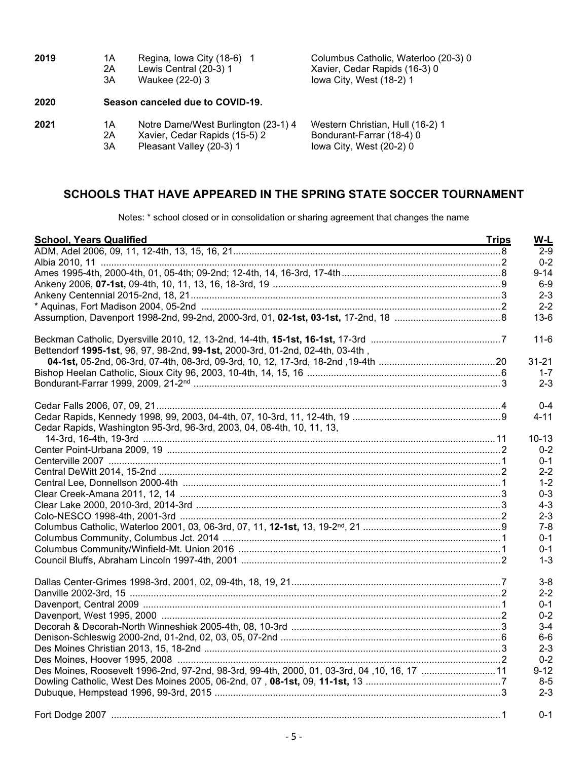| 2019 | 1Α | Regina, Iowa City (18-6) 1          | Columbus Catholic, Waterloo (20-3) 0 |
|------|----|-------------------------------------|--------------------------------------|
|      | 2A | Lewis Central (20-3) 1              | Xavier, Cedar Rapids (16-3) 0        |
|      | 3A | Waukee (22-0) 3                     | lowa City, West (18-2) 1             |
| 2020 |    | Season canceled due to COVID-19.    |                                      |
| 2021 | 1А | Notre Dame/West Burlington (23-1) 4 | Western Christian, Hull (16-2) 1     |
|      | 2Α | Xavier, Cedar Rapids (15-5) 2       | Bondurant-Farrar (18-4) 0            |
|      | 3A | Pleasant Valley (20-3) 1            | lowa City, West (20-2) 0             |

## **SCHOOLS THAT HAVE APPEARED IN THE SPRING STATE SOCCER TOURNAMENT**

Notes: \* school closed or in consolidation or sharing agreement that changes the name

| <b>School, Years Qualified</b>                                                 | <b>Trips</b> |
|--------------------------------------------------------------------------------|--------------|
|                                                                                |              |
|                                                                                |              |
|                                                                                |              |
|                                                                                |              |
|                                                                                |              |
|                                                                                |              |
|                                                                                |              |
|                                                                                |              |
| Bettendorf 1995-1st, 96, 97, 98-2nd, 99-1st, 2000-3rd, 01-2nd, 02-4th, 03-4th, |              |
|                                                                                |              |
|                                                                                |              |
|                                                                                |              |
|                                                                                |              |
|                                                                                |              |
| Cedar Rapids, Washington 95-3rd, 96-3rd, 2003, 04, 08-4th, 10, 11, 13,         |              |
|                                                                                |              |
|                                                                                |              |
|                                                                                |              |
|                                                                                |              |
|                                                                                |              |
|                                                                                |              |
|                                                                                |              |
|                                                                                |              |
|                                                                                |              |
|                                                                                |              |
|                                                                                |              |
|                                                                                |              |
|                                                                                |              |
|                                                                                |              |
|                                                                                |              |
|                                                                                |              |
|                                                                                |              |
|                                                                                |              |
|                                                                                |              |
|                                                                                |              |
|                                                                                |              |
|                                                                                |              |
|                                                                                |              |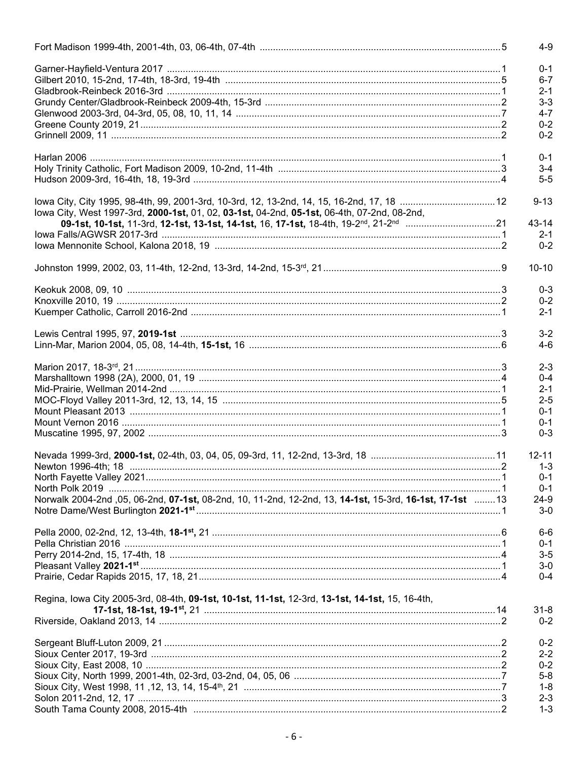|                                                                                                          | $4 - 9$   |
|----------------------------------------------------------------------------------------------------------|-----------|
|                                                                                                          | $0 - 1$   |
|                                                                                                          | $6-7$     |
|                                                                                                          | $2 - 1$   |
|                                                                                                          |           |
|                                                                                                          | $3 - 3$   |
|                                                                                                          | $4 - 7$   |
|                                                                                                          | $0 - 2$   |
|                                                                                                          | $0 - 2$   |
|                                                                                                          |           |
|                                                                                                          | $0 - 1$   |
|                                                                                                          | $3 - 4$   |
|                                                                                                          | $5-5$     |
|                                                                                                          |           |
| lowa City, City 1995, 98-4th, 99, 2001-3rd, 10-3rd, 12, 13-2nd, 14, 15, 16-2nd, 17, 18  12               | $9 - 13$  |
|                                                                                                          |           |
| lowa City, West 1997-3rd, 2000-1st, 01, 02, 03-1st, 04-2nd, 05-1st, 06-4th, 07-2nd, 08-2nd,              |           |
|                                                                                                          | 43-14     |
|                                                                                                          | $2 - 1$   |
|                                                                                                          | $0 - 2$   |
|                                                                                                          |           |
|                                                                                                          | $10 - 10$ |
|                                                                                                          |           |
|                                                                                                          | $0 - 3$   |
|                                                                                                          | $0 - 2$   |
|                                                                                                          | $2 - 1$   |
|                                                                                                          |           |
|                                                                                                          | $3 - 2$   |
|                                                                                                          | 4-6       |
|                                                                                                          |           |
|                                                                                                          | $2 - 3$   |
|                                                                                                          |           |
|                                                                                                          | $0 - 4$   |
|                                                                                                          | $2 - 1$   |
|                                                                                                          | $2 - 5$   |
|                                                                                                          | $0 - 1$   |
|                                                                                                          | $0 - 1$   |
|                                                                                                          | $0 - 3$   |
|                                                                                                          |           |
|                                                                                                          | $12 - 11$ |
|                                                                                                          | $1 - 3$   |
|                                                                                                          |           |
|                                                                                                          | $0 - 1$   |
|                                                                                                          | $0 - 1$   |
| Norwalk 2004-2nd ,05, 06-2nd, 07-1st, 08-2nd, 10, 11-2nd, 12-2nd, 13, 14-1st, 15-3rd, 16-1st, 17-1st  13 | 24-9      |
|                                                                                                          | $3-0$     |
|                                                                                                          |           |
|                                                                                                          | $6-6$     |
|                                                                                                          | $0 - 1$   |
|                                                                                                          | $3-5$     |
|                                                                                                          | $3-0$     |
|                                                                                                          | $0 - 4$   |
|                                                                                                          |           |
|                                                                                                          |           |
| Regina, Iowa City 2005-3rd, 08-4th, 09-1st, 10-1st, 11-1st, 12-3rd, 13-1st, 14-1st, 15, 16-4th,          |           |
|                                                                                                          | $31 - 8$  |
|                                                                                                          | $0 - 2$   |
|                                                                                                          |           |
|                                                                                                          | $0 - 2$   |
|                                                                                                          | $2 - 2$   |
|                                                                                                          | $0 - 2$   |
|                                                                                                          | $5-8$     |
|                                                                                                          | $1 - 8$   |
|                                                                                                          |           |
|                                                                                                          | $2 - 3$   |
|                                                                                                          | $1 - 3$   |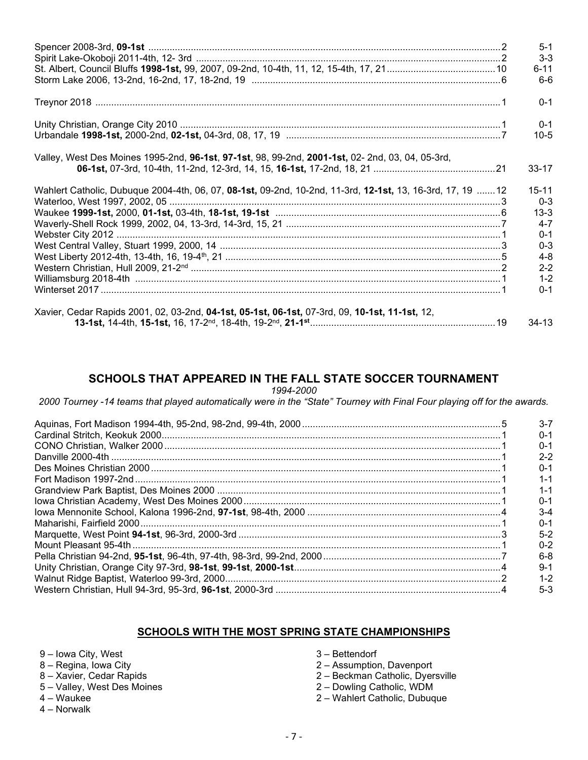|                                                                                                           | $5-1$                |
|-----------------------------------------------------------------------------------------------------------|----------------------|
|                                                                                                           | $3 - 3$              |
|                                                                                                           | $6 - 11$             |
|                                                                                                           | $6-6$                |
|                                                                                                           | $0 - 1$              |
|                                                                                                           | $0 - 1$              |
|                                                                                                           | $10-5$               |
| Valley, West Des Moines 1995-2nd, 96-1st, 97-1st, 98, 99-2nd, 2001-1st, 02- 2nd, 03, 04, 05-3rd,          |                      |
|                                                                                                           | $33 - 17$            |
| Wahlert Catholic, Dubuque 2004-4th, 06, 07, 08-1st, 09-2nd, 10-2nd, 11-3rd, 12-1st, 13, 16-3rd, 17, 19 12 | $15 - 11$<br>$0 - 3$ |
|                                                                                                           | $13 - 3$             |
|                                                                                                           | $4 - 7$              |
|                                                                                                           | $0 - 1$              |
|                                                                                                           | $0 - 3$              |
|                                                                                                           | $4 - 8$              |
|                                                                                                           | $2 - 2$              |
|                                                                                                           | $1 - 2$              |
|                                                                                                           | $0 - 1$              |
| Xavier, Cedar Rapids 2001, 02, 03-2nd, 04-1st, 05-1st, 06-1st, 07-3rd, 09, 10-1st, 11-1st, 12,            |                      |
|                                                                                                           | $34-13$              |

## **SCHOOLS THAT APPEARED IN THE FALL STATE SOCCER TOURNAMENT**

*1994-2000*

*2000 Tourney -14 teams that played automatically were in the "State" Tourney with Final Four playing off for the awards.*

| $3 - 7$ |
|---------|
| $0 - 1$ |
| $0 - 1$ |
| $2 - 2$ |
| $0 - 1$ |
| $1 - 1$ |
| $1 - 1$ |
| $0 - 1$ |
| $3-4$   |
| $0 - 1$ |
| $5 - 2$ |
| $0 - 2$ |
| 6-8     |
| $9 - 1$ |
| $1 - 2$ |
| $5-3$   |

## **SCHOOLS WITH THE MOST SPRING STATE CHAMPIONSHIPS**

- 9 Iowa City, West
- 8 Regina, Iowa City
- 8 Xavier, Cedar Rapids
- 5 Valley, West Des Moines
- 4 Waukee
- 4 Norwalk
- 3 Bettendorf
- 2 Assumption, Davenport
- 2 Beckman Catholic, Dyersville
- 2 Dowling Catholic, WDM
- 2 Wahlert Catholic, Dubuque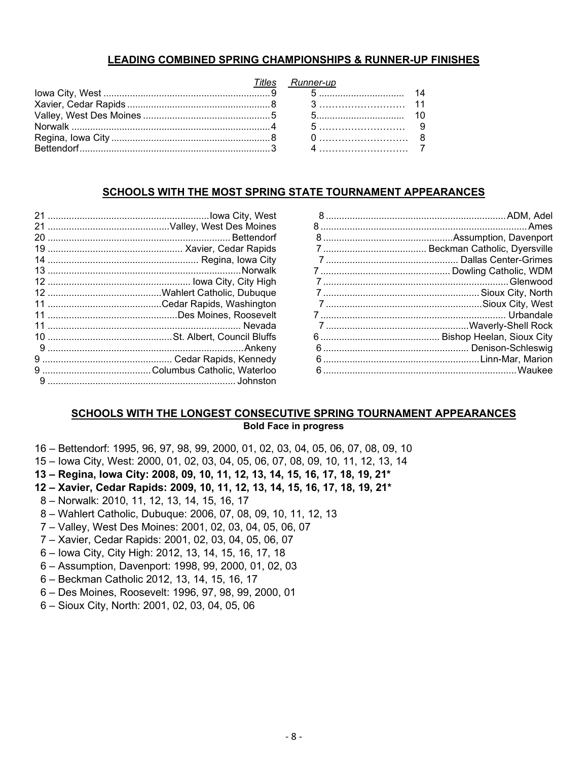## **LEADING COMBINED SPRING CHAMPIONSHIPS & RUNNER-UP FINISHES**

|  | Titles Runner-up |  |
|--|------------------|--|
|  |                  |  |
|  |                  |  |
|  |                  |  |
|  |                  |  |
|  |                  |  |
|  |                  |  |

## **SCHOOLS WITH THE MOST SPRING STATE TOURNAMENT APPEARANCES**

## **SCHOOLS WITH THE LONGEST CONSECUTIVE SPRING TOURNAMENT APPEARANCES Bold Face in progress**

- Bettendorf: 1995, 96, 97, 98, 99, 2000, 01, 02, 03, 04, 05, 06, 07, 08, 09, 10
- 15 Iowa City, West: 2000, 01, 02, 03, 04, 05, 06, 07, 08, 09, 10, 11, 12, 13, 14
- **– Regina, Iowa City: 2008, 09, 10, 11, 12, 13, 14, 15, 16, 17, 18, 19, 21\***
- **– Xavier, Cedar Rapids: 2009, 10, 11, 12, 13, 14, 15, 16, 17, 18, 19, 21\***
- 8 Norwalk: 2010, 11, 12, 13, 14, 15, 16, 17
- 8 Wahlert Catholic, Dubuque: 2006, 07, 08, 09, 10, 11, 12, 13
- Valley, West Des Moines: 2001, 02, 03, 04, 05, 06, 07
- 7 Xavier, Cedar Rapids: 2001, 02, 03, 04, 05, 06, 07
- 6 Iowa City, City High: 2012, 13, 14, 15, 16, 17, 18
- 6 Assumption, Davenport: 1998, 99, 2000, 01, 02, 03
- 6 Beckman Catholic 2012, 13, 14, 15, 16, 17
- 6 Des Moines, Roosevelt: 1996, 97, 98, 99, 2000, 01
- 6 Sioux City, North: 2001, 02, 03, 04, 05, 06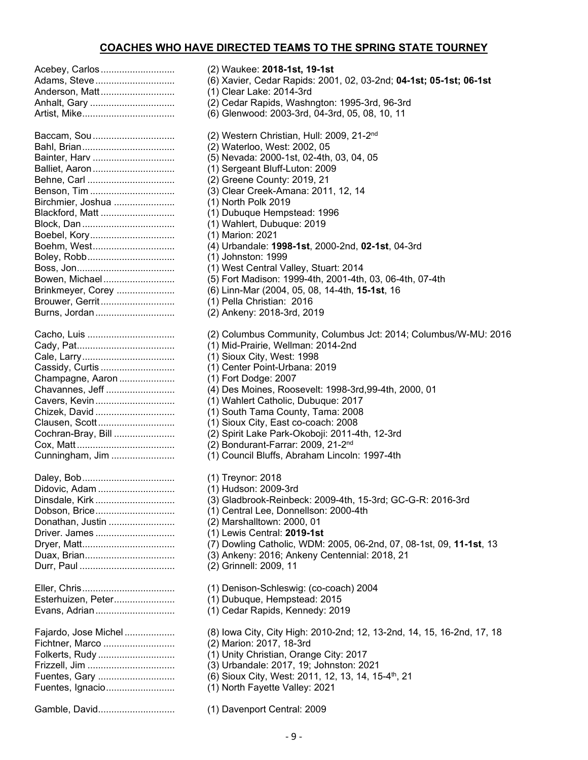## **COACHES WHO HAVE DIRECTED TEAMS TO THE SPRING STATE TOURNEY**

| Acebey, Carlos<br>Adams, Steve<br>Anderson, Matt<br>Anhalt, Gary                                                                                                                                                                              |
|-----------------------------------------------------------------------------------------------------------------------------------------------------------------------------------------------------------------------------------------------|
| Baccam, Sou<br>Bainter, Harv<br>Balliet, Aaron<br>Behne, Carl<br>Benson, Tim<br>Birchmier, Joshua<br>Blackford, Matt<br>Boebel, Kory<br>Boehm, West<br>Boley, Robb<br>Bowen, Michael<br>Brinkmeyer, Corey<br>Brouwer, Gerrit<br>Burns, Jordan |
| Cacho, Luis<br>Cassidy, Curtis<br>Champagne, Aaron<br>Chavannes, Jeff<br>Cavers, Kevin<br>Chizek, David<br>Clausen, Scott<br>Cochran-Bray, Bill<br>Cunningham, Jim                                                                            |
| Didovic. Adam<br>Dinsdale, Kirk<br>Dobson, Brice<br>Donathan, Justin<br>Driver. James<br>Duax, Brian                                                                                                                                          |
| Esterhuizen, Peter<br>Evans, Adrian                                                                                                                                                                                                           |
| Fajardo, Jose Michel<br>Fichtner, Marco<br>Folkerts, Rudy<br>Frizzell, Jim<br>Fuentes, Gary<br>Fuentes, Ignacio                                                                                                                               |
|                                                                                                                                                                                                                                               |

Acebey, Carlos ............................ (2) Waukee: **2018-1st, 19-1st** Adams, Steve.............................. (6) Xavier, Cedar Rapids: 2001, 02, 03-2nd; **04-1st; 05-1st; 06-1st** (1) Clear Lake: 2014-3rd (2) Cedar Rapids, Washngton: 1995-3rd, 96-3rd (6) Glenwood: 2003-3rd, 04-3rd, 05, 08, 10, 11  $(2)$  Western Christian, Hull: 2009, 21-2<sup>nd</sup> (2) Waterloo, West: 2002, 05 (5) Nevada: 2000-1st, 02-4th, 03, 04, 05 (1) Sergeant Bluff-Luton: 2009 (2) Greene County: 2019, 21 (3) Clear Creek-Amana: 2011, 12, 14 (1) North Polk 2019 (1) Dubuque Hempstead: 1996 (1) Wahlert, Dubuque: 2019 Boebel, Kory................................ (1) Marion: 2021 Boehm, West............................... (4) Urbandale: **1998-1st**, 2000-2nd, **02-1st**, 04-3rd (1) Johnston: 1999 (1) West Central Valley, Stuart: 2014 (5) Fort Madison: 1999-4th, 2001-4th, 03, 06-4th, 07-4th Brinkmeyer, Corey ...................... (6) Linn-Mar (2004, 05, 08, 14-4th, **15-1st**, 16 (1) Pella Christian: 2016 (2) Ankeny: 2018-3rd, 2019 (2) Columbus Community, Columbus Jct: 2014; Columbus/W-MU: 2016 (1) Mid-Prairie, Wellman: 2014-2nd (1) Sioux City, West: 1998 (1) Center Point-Urbana: 2019 (1) Fort Dodge: 2007 (4) Des Moines, Roosevelt: 1998-3rd,99-4th, 2000, 01 (1) Wahlert Catholic, Dubuque: 2017 (1) South Tama County, Tama: 2008 (1) Sioux City, East co-coach: 2008 (2) Spirit Lake Park-Okoboji: 2011-4th, 12-3rd  $(2)$  Bondurant-Farrar: 2009, 21-2<sup>nd</sup> (1) Council Bluffs, Abraham Lincoln: 1997-4th (1) Treynor: 2018 (1) Hudson: 2009-3rd (3) Gladbrook-Reinbeck: 2009-4th, 15-3rd; GC-G-R: 2016-3rd (1) Central Lee, Donnellson: 2000-4th (2) Marshalltown: 2000, 01 Driver. James .............................. (1) Lewis Central: **2019-1st** Dryer, Matt................................... (7) Dowling Catholic, WDM: 2005, 06-2nd, 07, 08-1st, 09, **11-1st**, 13 (3) Ankeny: 2016; Ankeny Centennial: 2018, 21 (2) Grinnell: 2009, 11 (1) Denison-Schleswig: (co-coach) 2004 (1) Dubuque, Hempstead: 2015 (1) Cedar Rapids, Kennedy: 2019 (8) Iowa City, City High: 2010-2nd; 12, 13-2nd, 14, 15, 16-2nd, 17, 18 (2) Marion: 2017, 18-3rd (1) Unity Christian, Orange City: 2017 (3) Urbandale: 2017, 19; Johnston: 2021 (6) Sioux City, West: 2011, 12, 13, 14, 15-4<sup>th</sup>, 21 (1) North Fayette Valley: 2021

Gamble, David............................. (1) Davenport Central: 2009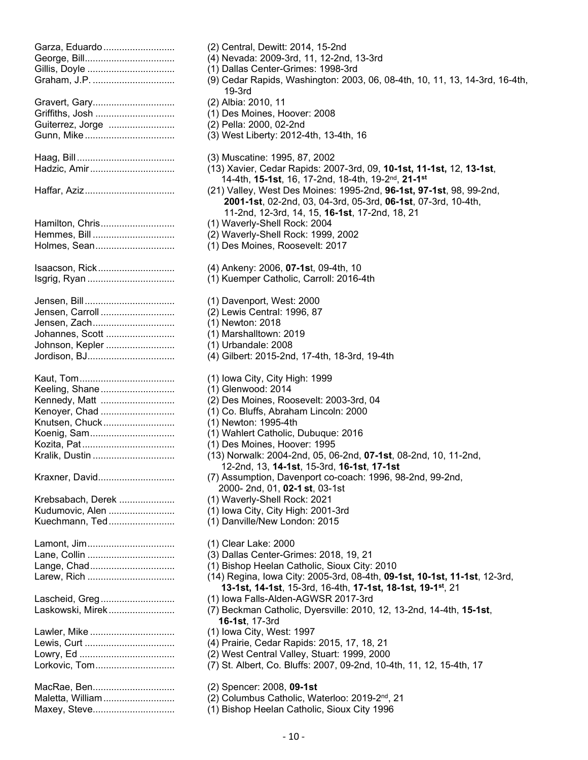| Garza, Eduardo<br>Gillis, Doyle                                                                     |
|-----------------------------------------------------------------------------------------------------|
| Gravert, Gary<br>Griffiths, Josh<br>Guiterrez, Jorge<br>Gunn, Mike                                  |
| Hadzic, Amir                                                                                        |
|                                                                                                     |
| Hamilton, Chris<br>Hemmes, Bill<br>Holmes, Sean                                                     |
| Isaacson, Rick                                                                                      |
| Jensen, Carroll<br>Jensen, Zach<br>Johannes, Scott<br>Johnson, Kepler<br>Jordison, BJ               |
| Keeling, Shane<br>Kennedy, Matt<br>Kenoyer, Chad<br>Knutsen, Chuck<br>Koenig, Sam<br>Kralik, Dustin |
| Kraxner, David                                                                                      |
| Krebsabach, Derek<br>Kudumovic, Alen<br>Kuechmann, Ted                                              |
| Lamont, Jim<br>Lange, Chad<br>Larew, Rich                                                           |
| Lascheid, Greg<br>Laskowski, Mirek                                                                  |
| Lawler, Mike<br>Lewis, Curt<br>Lorkovic, Tom                                                        |
| MacRae, Ben<br>Maletta, William                                                                     |

(2) Central, Dewitt: 2014, 15-2nd (4) Nevada: 2009-3rd, 11, 12-2nd, 13-3rd (1) Dallas Center-Grimes: 1998-3rd (9) Cedar Rapids, Washington: 2003, 06, 08-4th, 10, 11, 13, 14-3rd, 16-4th, 19-3rd (2) Albia: 2010, 11 (1) Des Moines, Hoover: 2008 (2) Pella: 2000, 02-2nd  $(3)$  West Liberty: 2012-4th, 13-4th, 16 (3) Muscatine: 1995, 87, 2002 Hadzic, Amir................................ (13) Xavier, Cedar Rapids: 2007-3rd, 09, **10-1st, 11-1st,** 12, **13-1st**, 14-4th, **15-1st**, 16, 17-2nd, 18-4th, 19-2nd, **21-1st** (21) Valley, West Des Moines: 1995-2nd, 96-1st, 97-1st, 98, 99-2nd, **2001-1st**, 02-2nd, 03, 04-3rd, 05-3rd, **06-1st**, 07-3rd, 10-4th, 11-2nd, 12-3rd, 14, 15, **16-1st**, 17-2nd, 18, 21 (1) Waverly-Shell Rock: 2004 (2) Waverly-Shell Rock: 1999, 2002 (1) Des Moines, Roosevelt: 2017 Isaacson, Rick............................. (4) Ankeny: 2006, **07-1s**t, 09-4th, 10 (1) Kuemper Catholic, Carroll: 2016-4th (1) Davenport, West: 2000 (2) Lewis Central: 1996, 87 (1) Newton: 2018  $(1)$  Marshalltown: 2019 (1) Urbandale: 2008 (4) Gilbert: 2015-2nd, 17-4th, 18-3rd, 19-4th (1) Iowa City, City High: 1999 (1) Glenwood: 2014 (2) Des Moines, Roosevelt: 2003-3rd, 04 (1) Co. Bluffs, Abraham Lincoln: 2000 (1) Newton: 1995-4th (1) Wahlert Catholic, Dubuque: 2016 (1) Des Moines, Hoover: 1995 (13) Norwalk: 2004-2nd, 05, 06-2nd, **07-1st**, 08-2nd, 10, 11-2nd, 12-2nd, 13, **14-1st**, 15-3rd, **16-1st**, **17-1st** (7) Assumption, Davenport co-coach: 1996, 98-2nd, 99-2nd, 2000- 2nd, 01, **02-1 st**, 03-1st (1) Waverly-Shell Rock: 2021 (1) Iowa City, City High: 2001-3rd (1) Danville/New London: 2015 (1) Clear Lake: 2000 (3) Dallas Center-Grimes: 2018, 19, 21 (1) Bishop Heelan Catholic, Sioux City: 2010 Larew, Rich ................................. (14) Regina, Iowa City: 2005-3rd, 08-4th, **09-1st, 10-1st, 11-1st**, 12-3rd, **13-1st, 14-1st**, 15-3rd, 16-4th, **17-1st, 18-1st, 19-1st**, 21 (1) Iowa Falls-Alden-AGWSR 2017-3rd Laskowski, Mirek......................... (7) Beckman Catholic, Dyersville: 2010, 12, 13-2nd, 14-4th, **15-1st**, **16-1st**, 17-3rd (1) Iowa City, West: 1997 (4) Prairie, Cedar Rapids: 2015, 17, 18, 21 (2) West Central Valley, Stuart: 1999, 2000 (7) St. Albert, Co. Bluffs: 2007, 09-2nd, 10-4th, 11, 12, 15-4th, 17 (2) Spencer: 2008, **09-1st** (2) Columbus Catholic, Waterloo: 2019-2<sup>nd</sup>, 21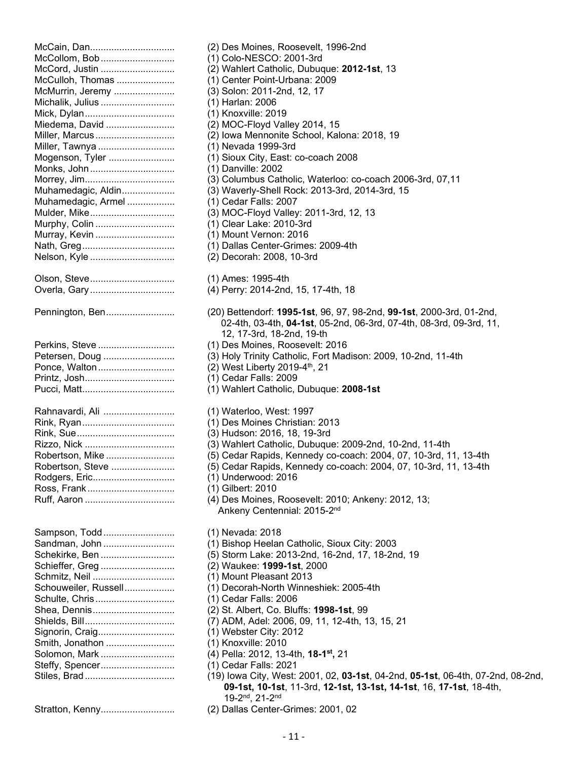| McCain, Dan<br>McCollom, Bob<br>McCord, Justin<br>McCulloh, Thomas<br>McMurrin, Jeremy<br>Michalik, Julius<br>Mick, Dylan<br>Miedema, David<br>Miller, Marcus<br>Miller, Tawnya<br>Mogenson, Tyler<br>Monks, John<br>Morrey, Jim<br>Muhamedagic, Aldin<br>Muhamedagic, Armel<br>Mulder, Mike<br>Murphy, Colin |
|---------------------------------------------------------------------------------------------------------------------------------------------------------------------------------------------------------------------------------------------------------------------------------------------------------------|
| Murray, Kevin<br>Nelson, Kyle                                                                                                                                                                                                                                                                                 |
| Olson, Steve<br>Overla, Gary                                                                                                                                                                                                                                                                                  |
| Pennington, Ben                                                                                                                                                                                                                                                                                               |
| Perkins, Steve<br>Petersen, Doug<br>Ponce, Walton<br>Printz, Josh                                                                                                                                                                                                                                             |
| Rahnavardi, Ali<br>Robertson, Mike<br>Robertson, Steve<br>Rodgers, Eric<br>Ross, Frank                                                                                                                                                                                                                        |
| Sampson, Todd<br>Sandman, John<br>Schekirke, Ben<br>Schieffer, Greg<br>Schmitz, Neil<br>Schouweiler, Russell<br>Schulte, Chris<br>Shea, Dennis<br>Signorin, Craig<br>Smith, Jonathon<br>Solomon, Mark<br>Steffy, Spencer                                                                                      |

(2) Des Moines, Roosevelt, 1996-2nd (1) Colo-NESCO: 2001-3rd (2) Wahlert Catholic, Dubuque: 2012-1st, 13 (1) Center Point-Urbana: 2009 (3) Solon: 2011-2nd, 12, 17 (1) Harlan: 2006 (1) Knoxville: 2019 (2) MOC-Floyd Valley 2014, 15 (2) Iowa Mennonite School, Kalona: 2018, 19 (1) Nevada 1999-3rd (1) Sioux City, East: co-coach 2008 (1) Danville: 2002 (3) Columbus Catholic, Waterloo: co-coach 2006-3rd, 07,11 (3) Waverly-Shell Rock: 2013-3rd, 2014-3rd, 15  $(1)$  Cedar Falls: 2007 (3) MOC-Floyd Valley: 2011-3rd, 12, 13 (1) Clear Lake: 2010-3rd (1) Mount Vernon: 2016 (1) Dallas Center-Grimes: 2009-4th (2) Decorah: 2008, 10-3rd (1) Ames: 1995-4th (4) Perry: 2014-2nd, 15, 17-4th, 18 Pennington, Ben.......................... (20) Bettendorf: **1995-1st**, 96, 97, 98-2nd, **99-1st**, 2000-3rd, 01-2nd, 02-4th, 03-4th, **04-1st**, 05-2nd, 06-3rd, 07-4th, 08-3rd, 09-3rd, 11, 12, 17-3rd, 18-2nd, 19-th (1) Des Moines, Roosevelt: 2016 (3) Holy Trinity Catholic, Fort Madison: 2009, 10-2nd, 11-4th  $(2)$  West Liberty 2019-4<sup>th</sup>, 21 (1) Cedar Falls: 2009 (1) Wahlert Catholic, Dubuque: 2008-1st (1) Waterloo, West: 1997 (1) Des Moines Christian: 2013 (3) Hudson: 2016, 18, 19-3rd (3) Wahlert Catholic, Dubuque: 2009-2nd, 10-2nd, 11-4th (5) Cedar Rapids, Kennedy co-coach: 2004, 07, 10-3rd, 11, 13-4th (5) Cedar Rapids, Kennedy co-coach: 2004, 07, 10-3rd, 11, 13-4th (1) Underwood: 2016 (1) Gilbert: 2010 (4) Des Moines, Roosevelt: 2010; Ankeny: 2012, 13; Ankeny Centennial: 2015-2<sup>nd</sup> (1) Nevada: 2018 (1) Bishop Heelan Catholic, Sioux City: 2003 (5) Storm Lake: 2013-2nd, 16-2nd, 17, 18-2nd, 19 Schieffer, Greg ............................ (2) Waukee: **1999-1st**, 2000 (1) Mount Pleasant 2013 (1) Decorah-North Winneshiek: 2005-4th (1) Cedar Falls: 2006 (2) St. Albert, Co. Bluffs: **1998-1st**, 99 (7) ADM, Adel: 2006, 09, 11, 12-4th, 13, 15, 21 (1) Webster City: 2012 (1) Knoxville: 2010 (4) Pella: 2012, 13-4th, 18-1<sup>st</sup>, 21  $(1)$  Cedar Falls: 2021 Stiles, Brad.................................. (19) Iowa City, West: 2001, 02, **03-1st**, 04-2nd, **05-1st**, 06-4th, 07-2nd, 08-2nd, **09-1st, 10-1st**, 11-3rd, **12-1st, 13-1st, 14-1st**, 16, **17-1st**, 18-4th, 19-2nd, 21-2nd

Stratton, Kenny............................ (2) Dallas Center-Grimes: 2001, 02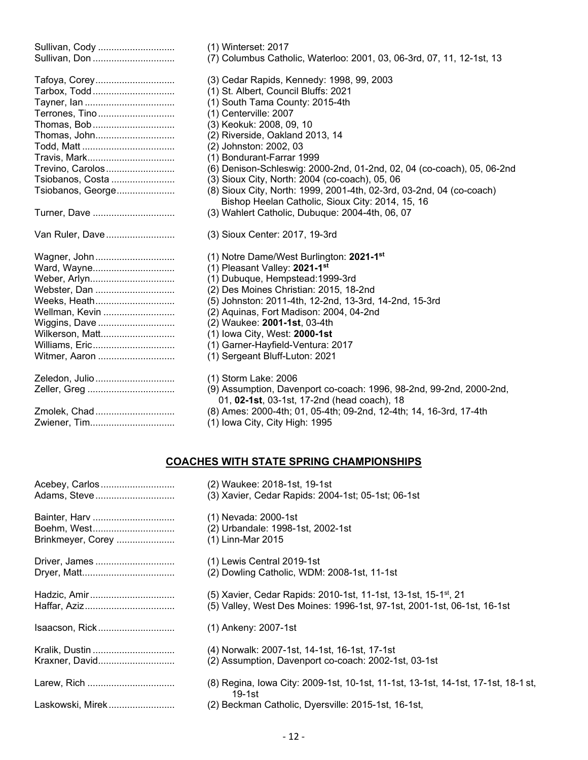| Sullivan, Cody<br>Sullivan, Don                                                                                                                                      | (1) Winterset: 2017<br>(7) Columbus Catholic, Waterloo: 2001, 03, 06-3rd, 07, 11, 12-1st, 13                                                                                                                                                                                                                                                                                                                                                                                                                                |
|----------------------------------------------------------------------------------------------------------------------------------------------------------------------|-----------------------------------------------------------------------------------------------------------------------------------------------------------------------------------------------------------------------------------------------------------------------------------------------------------------------------------------------------------------------------------------------------------------------------------------------------------------------------------------------------------------------------|
| Tafoya, Corey<br>Tarbox, Todd<br>Terrones, Tino<br>Thomas, Bob<br>Thomas, John<br>Travis, Mark<br>Trevino, Carolos<br>Tsiobanos, Costa<br>Tsiobanos, George          | (3) Cedar Rapids, Kennedy: 1998, 99, 2003<br>(1) St. Albert, Council Bluffs: 2021<br>(1) South Tama County: 2015-4th<br>(1) Centerville: 2007<br>(3) Keokuk: 2008, 09, 10<br>(2) Riverside, Oakland 2013, 14<br>(2) Johnston: 2002, 03<br>(1) Bondurant-Farrar 1999<br>(6) Denison-Schleswig: 2000-2nd, 01-2nd, 02, 04 (co-coach), 05, 06-2nd<br>(3) Sioux City, North: 2004 (co-coach), 05, 06<br>(8) Sioux City, North: 1999, 2001-4th, 02-3rd, 03-2nd, 04 (co-coach)<br>Bishop Heelan Catholic, Sioux City: 2014, 15, 16 |
| Turner, Dave                                                                                                                                                         | (3) Wahlert Catholic, Dubuque: 2004-4th, 06, 07                                                                                                                                                                                                                                                                                                                                                                                                                                                                             |
| Van Ruler, Dave                                                                                                                                                      | (3) Sioux Center: 2017, 19-3rd                                                                                                                                                                                                                                                                                                                                                                                                                                                                                              |
| Wagner, John<br>Ward, Wayne<br>Weber, Arlyn<br>Webster, Dan<br>Weeks, Heath<br>Wellman, Kevin<br>Wiggins, Dave<br>Wilkerson, Matt<br>Williams, Eric<br>Witmer, Aaron | (1) Notre Dame/West Burlington: 2021-1 <sup>st</sup><br>(1) Pleasant Valley: 2021-1st<br>(1) Dubuque, Hempstead: 1999-3rd<br>(2) Des Moines Christian: 2015, 18-2nd<br>(5) Johnston: 2011-4th, 12-2nd, 13-3rd, 14-2nd, 15-3rd<br>(2) Aquinas, Fort Madison: 2004, 04-2nd<br>(2) Waukee: 2001-1st, 03-4th<br>(1) Iowa City, West: 2000-1st<br>(1) Garner-Hayfield-Ventura: 2017<br>(1) Sergeant Bluff-Luton: 2021                                                                                                            |
| Zeledon, Julio<br>Zmolek, Chad<br>Zwiener, Tim                                                                                                                       | (1) Storm Lake: 2006<br>(9) Assumption, Davenport co-coach: 1996, 98-2nd, 99-2nd, 2000-2nd,<br>01, 02-1st, 03-1st, 17-2nd (head coach), 18<br>(8) Ames: 2000-4th; 01, 05-4th; 09-2nd, 12-4th; 14, 16-3rd, 17-4th<br>(1) Iowa City, City High: 1995                                                                                                                                                                                                                                                                          |

## **COACHES WITH STATE SPRING CHAMPIONSHIPS**

| Acebey, Carlos    | (2) Waukee: 2018-1st, 19-1st                                                                |
|-------------------|---------------------------------------------------------------------------------------------|
| Adams, Steve      | (3) Xavier, Cedar Rapids: 2004-1st; 05-1st; 06-1st                                          |
| Bainter, Harv     | (1) Nevada: 2000-1st                                                                        |
| Boehm, West       | (2) Urbandale: 1998-1st, 2002-1st                                                           |
| Brinkmeyer, Corey | (1) Linn-Mar 2015                                                                           |
| Driver, James     | (1) Lewis Central 2019-1st                                                                  |
|                   | (2) Dowling Catholic, WDM: 2008-1st, 11-1st                                                 |
| Hadzic, Amir      | (5) Xavier, Cedar Rapids: 2010-1st, 11-1st, 13-1st, 15-1 <sup>st</sup> , 21                 |
|                   | (5) Valley, West Des Moines: 1996-1st, 97-1st, 2001-1st, 06-1st, 16-1st                     |
| Isaacson, Rick    | (1) Ankeny: 2007-1st                                                                        |
| Kralik, Dustin    | (4)  Norwalk: 2007-1st, 14-1st, 16-1st, 17-1st                                              |
| Kraxner, David    | (2) Assumption, Davenport co-coach: 2002-1st, 03-1st                                        |
|                   |                                                                                             |
| Larew, Rich       | (8) Regina, Iowa City: 2009-1st, 10-1st, 11-1st, 13-1st, 14-1st, 17-1st, 18-1 st,<br>19-1st |
| Laskowski, Mirek  | (2) Beckman Catholic, Dyersville: 2015-1st, 16-1st,                                         |
|                   |                                                                                             |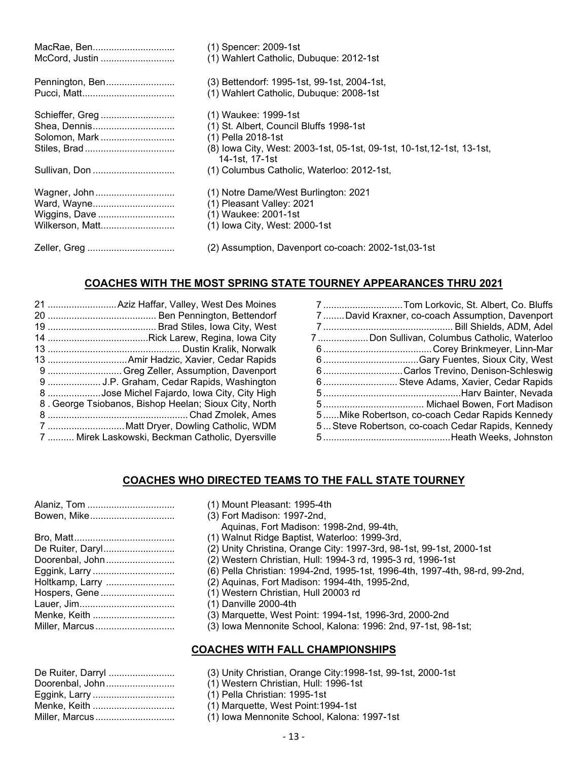| MacRae, Ben     | (1) Spencer: 2009-1st                                                                    |
|-----------------|------------------------------------------------------------------------------------------|
| McCord, Justin  | (1) Wahlert Catholic, Dubuque: 2012-1st                                                  |
| Pennington, Ben | (3) Bettendorf: 1995-1st, 99-1st, 2004-1st,                                              |
|                 | (1) Wahlert Catholic, Dubuque: 2008-1st                                                  |
| Schieffer, Greg | (1) Waukee: 1999-1st                                                                     |
| Shea, Dennis    | (1) St. Albert, Council Bluffs 1998-1st                                                  |
| Solomon, Mark   | (1) Pella 2018-1st                                                                       |
|                 | (8) Iowa City, West: 2003-1st, 05-1st, 09-1st, 10-1st, 12-1st, 13-1st,<br>14-1st. 17-1st |
| Sullivan, Don   | (1) Columbus Catholic, Waterloo: 2012-1st,                                               |
| Wagner, John    | (1) Notre Dame/West Burlington: 2021                                                     |
| Ward, Wayne     | (1) Pleasant Valley: 2021                                                                |
| Wiggins, Dave   | (1) Waukee: 2001-1st                                                                     |
| Wilkerson, Matt | (1) Iowa City, West: 2000-1st                                                            |
| Zeller, Greg    | (2) Assumption, Davenport co-coach: 2002-1st,03-1st                                      |

## **COACHES WITH THE MOST SPRING STATE TOURNEY APPEARANCES THRU 2021**

|   | 9  Greg Zeller, Assumption, Davenport                 |
|---|-------------------------------------------------------|
|   | 9  J.P. Graham, Cedar Rapids, Washington              |
|   | 8 Jose Michel Fajardo, Iowa City, City High           |
|   | 8. George Tsiobanos, Bishop Heelan; Sioux City, North |
| 8 |                                                       |
|   | 7  Matt Dryer, Dowling Catholic, WDM                  |
|   | 7  Mirek Laskowski, Beckman Catholic, Dyersville      |

| 7Tom Lorkovic, St. Albert, Co. Bluffs             |
|---------------------------------------------------|
| 7David Kraxner, co-coach Assumption, Davenport    |
|                                                   |
| 7 Don Sullivan, Columbus Catholic, Waterloo       |
|                                                   |
|                                                   |
| 6 Carlos Trevino, Denison-Schleswig               |
| 6 Steve Adams, Xavier, Cedar Rapids               |
|                                                   |
|                                                   |
| 5Mike Robertson, co-coach Cedar Rapids Kennedy    |
| 5 Steve Robertson, co-coach Cedar Rapids, Kennedy |
|                                                   |

## **COACHES WHO DIRECTED TEAMS TO THE FALL STATE TOURNEY**

## (1) Mount Pleasant: 1995-4th

- (3) Fort Madison: 1997-2nd,
	- Aquinas, Fort Madison: 1998-2nd, 99-4th,
- (1) Walnut Ridge Baptist, Waterloo: 1999-3rd,
- (2) Unity Christina, Orange City: 1997-3rd, 98-1st, 99-1st, 2000-1st
- (2) Western Christian, Hull: 1994-3 rd, 1995-3 rd, 1996-1st
- (6) Pella Christian: 1994-2nd, 1995-1st, 1996-4th, 1997-4th, 98-rd, 99-2nd,
- (2) Aquinas, Fort Madison: 1994-4th, 1995-2nd,
- (1) Western Christian, Hull 20003 rd
- $(1)$  Danville 2000-4th
- (3) Marquette, West Point: 1994-1st, 1996-3rd, 2000-2nd
- (3) Iowa Mennonite School, Kalona: 1996: 2nd, 97-1st, 98-1st;

## **COACHES WITH FALL CHAMPIONSHIPS**

- (3) Unity Christian, Orange City:1998-1st, 99-1st, 2000-1st
- (1) Western Christian, Hull: 1996-1st
- (1) Pella Christian: 1995-1st
- (1) Marquette, West Point:1994-1st
- Miller, Marcus .............................. (1) Iowa Mennonite School, Kalona: 1997-1st

| De Ruiter, Darryl |
|-------------------|
| Doorenbal, John   |
| Eggink, Larry     |
| Menke, Keith      |
| Miller. Marcus    |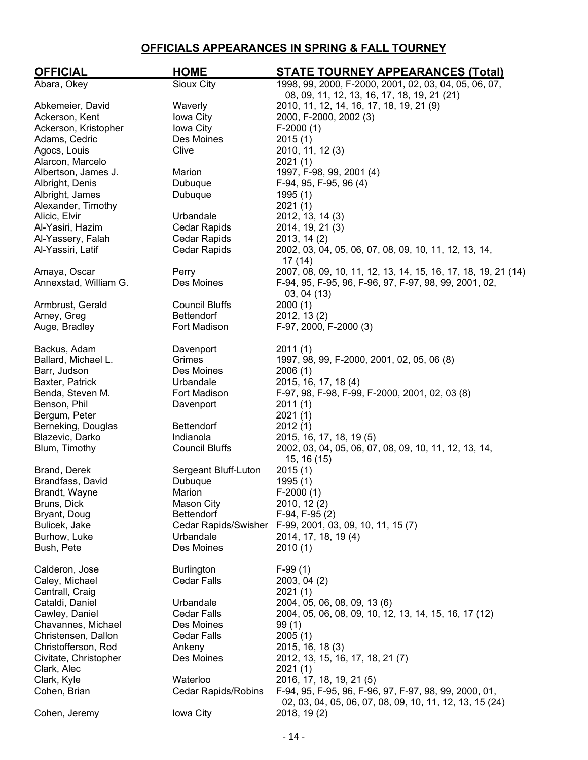## **OFFICIALS APPEARANCES IN SPRING & FALL TOURNEY**

| <b>OFFICIAL</b>       | <b>HOME</b>                | <b>STATE TOURNEY APPEARANCES (Total)</b>                      |
|-----------------------|----------------------------|---------------------------------------------------------------|
| Abara, Okey           | Sioux City                 | 1998, 99, 2000, F-2000, 2001, 02, 03, 04, 05, 06, 07,         |
|                       |                            | 08, 09, 11, 12, 13, 16, 17, 18, 19, 21 (21)                   |
| Abkemeier, David      | Waverly                    | 2010, 11, 12, 14, 16, 17, 18, 19, 21 (9)                      |
| Ackerson, Kent        | Iowa City                  | 2000, F-2000, 2002 (3)                                        |
| Ackerson, Kristopher  | Iowa City                  | $F-2000(1)$                                                   |
| Adams, Cedric         | Des Moines                 | 2015(1)                                                       |
| Agocs, Louis          | Clive                      | 2010, 11, 12 (3)                                              |
| Alarcon, Marcelo      |                            | 2021(1)                                                       |
| Albertson, James J.   | Marion                     | 1997, F-98, 99, 2001 (4)                                      |
| Albright, Denis       | Dubuque                    | F-94, 95, F-95, 96 (4)                                        |
| Albright, James       | Dubuque                    | 1995(1)                                                       |
| Alexander, Timothy    |                            | 2021(1)                                                       |
| Alicic, Elvir         | Urbandale                  | 2012, 13, 14 (3)                                              |
| Al-Yasiri, Hazim      | <b>Cedar Rapids</b>        | 2014, 19, 21 (3)                                              |
| Al-Yassery, Falah     | Cedar Rapids               | 2013, 14 (2)                                                  |
| Al-Yassiri, Latif     | <b>Cedar Rapids</b>        | 2002, 03, 04, 05, 06, 07, 08, 09, 10, 11, 12, 13, 14,         |
|                       |                            | 17 (14)                                                       |
| Amaya, Oscar          | Perry                      | 2007, 08, 09, 10, 11, 12, 13, 14, 15, 16, 17, 18, 19, 21 (14) |
| Annexstad, William G. | Des Moines                 | F-94, 95, F-95, 96, F-96, 97, F-97, 98, 99, 2001, 02,         |
|                       |                            | 03, 04(13)                                                    |
| Armbrust, Gerald      | <b>Council Bluffs</b>      | 2000(1)                                                       |
| Arney, Greg           | <b>Bettendorf</b>          | 2012, 13 (2)                                                  |
| Auge, Bradley         | Fort Madison               | F-97, 2000, F-2000 (3)                                        |
|                       |                            |                                                               |
| Backus, Adam          | Davenport                  | 2011(1)                                                       |
| Ballard, Michael L.   | Grimes                     | 1997, 98, 99, F-2000, 2001, 02, 05, 06 (8)                    |
| Barr, Judson          | Des Moines                 | 2006(1)                                                       |
| Baxter, Patrick       | Urbandale                  | 2015, 16, 17, 18 (4)                                          |
| Benda, Steven M.      | Fort Madison               | F-97, 98, F-98, F-99, F-2000, 2001, 02, 03 (8)                |
| Benson, Phil          | Davenport                  | 2011(1)                                                       |
| Bergum, Peter         |                            | 2021(1)                                                       |
| Berneking, Douglas    | <b>Bettendorf</b>          | 2012(1)                                                       |
| Blazevic, Darko       | Indianola                  | 2015, 16, 17, 18, 19 (5)                                      |
| Blum, Timothy         | <b>Council Bluffs</b>      | 2002, 03, 04, 05, 06, 07, 08, 09, 10, 11, 12, 13, 14,         |
|                       |                            | 15, 16 (15)                                                   |
| Brand, Derek          | Sergeant Bluff-Luton       | 2015(1)                                                       |
| Brandfass, David      | Dubuque                    | 1995(1)                                                       |
| Brandt, Wayne         | Marion                     | $F-2000(1)$                                                   |
| Bruns, Dick           | <b>Mason City</b>          | 2010, 12 (2)                                                  |
| Bryant, Doug          | Bettendorf                 | $F-94, F-95(2)$                                               |
| Bulicek, Jake         |                            | Cedar Rapids/Swisher F-99, 2001, 03, 09, 10, 11, 15 (7)       |
| Burhow, Luke          | Urbandale                  | 2014, 17, 18, 19 (4)                                          |
| Bush, Pete            | Des Moines                 | 2010(1)                                                       |
|                       |                            |                                                               |
| Calderon, Jose        | <b>Burlington</b>          | $F-99(1)$                                                     |
| Caley, Michael        | <b>Cedar Falls</b>         | 2003, 04 (2)                                                  |
| Cantrall, Craig       |                            | 2021(1)                                                       |
| Cataldi, Daniel       | Urbandale                  | 2004, 05, 06, 08, 09, 13 (6)                                  |
| Cawley, Daniel        | Cedar Falls                | 2004, 05, 06, 08, 09, 10, 12, 13, 14, 15, 16, 17 (12)         |
| Chavannes, Michael    | Des Moines                 | 99(1)                                                         |
| Christensen, Dallon   | Cedar Falls                | 2005(1)                                                       |
| Christofferson, Rod   | Ankeny                     | 2015, 16, 18 (3)                                              |
| Civitate, Christopher | Des Moines                 | 2012, 13, 15, 16, 17, 18, 21 (7)                              |
| Clark, Alec           |                            | 2021(1)                                                       |
| Clark, Kyle           | Waterloo                   | 2016, 17, 18, 19, 21 (5)                                      |
| Cohen, Brian          | <b>Cedar Rapids/Robins</b> | F-94, 95, F-95, 96, F-96, 97, F-97, 98, 99, 2000, 01,         |
|                       |                            | 02, 03, 04, 05, 06, 07, 08, 09, 10, 11, 12, 13, 15 (24)       |
| Cohen, Jeremy         | Iowa City                  | 2018, 19(2)                                                   |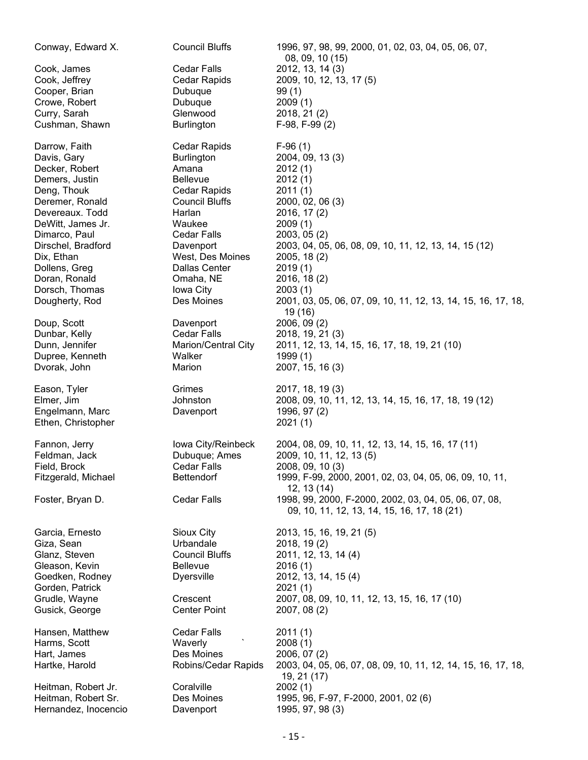| Conway, Edward X.   | <b>Council Bluffs</b>      | 1996, 97, 98, 99, 2000, 01, 02, 03, 04, 05, 06, 07,<br>08, 09, 10 (15)                               |
|---------------------|----------------------------|------------------------------------------------------------------------------------------------------|
| Cook, James         | <b>Cedar Falls</b>         | 2012, 13, 14 (3)                                                                                     |
| Cook, Jeffrey       | Cedar Rapids               | 2009, 10, 12, 13, 17 (5)                                                                             |
| Cooper, Brian       | Dubuque                    | 99(1)                                                                                                |
| Crowe, Robert       | Dubuque                    | 2009(1)                                                                                              |
|                     |                            |                                                                                                      |
| Curry, Sarah        | Glenwood                   | 2018, 21 (2)                                                                                         |
| Cushman, Shawn      | <b>Burlington</b>          | $F-98, F-99(2)$                                                                                      |
| Darrow, Faith       | Cedar Rapids               | $F-96(1)$                                                                                            |
| Davis, Gary         | <b>Burlington</b>          | 2004, 09, 13 (3)                                                                                     |
| Decker, Robert      | Amana                      | 2012(1)                                                                                              |
| Demers, Justin      | <b>Bellevue</b>            | 2012(1)                                                                                              |
| Deng, Thouk         | Cedar Rapids               | 2011(1)                                                                                              |
| Deremer, Ronald     | Council Bluffs             | 2000, 02, 06 (3)                                                                                     |
| Devereaux. Todd     | Harlan                     | 2016, 17 (2)                                                                                         |
| DeWitt, James Jr.   | Waukee                     | 2009(1)                                                                                              |
| Dimarco, Paul       | Cedar Falls                | 2003, 05(2)                                                                                          |
| Dirschel, Bradford  | Davenport                  | 2003, 04, 05, 06, 08, 09, 10, 11, 12, 13, 14, 15 (12)                                                |
| Dix, Ethan          | West, Des Moines           | 2005, 18(2)                                                                                          |
| Dollens, Greg       | Dallas Center              | 2019(1)                                                                                              |
| Doran, Ronald       | Omaha, NE                  | 2016, 18(2)                                                                                          |
| Dorsch, Thomas      | Iowa City                  | 2003(1)                                                                                              |
|                     | Des Moines                 |                                                                                                      |
| Dougherty, Rod      |                            | 2001, 03, 05, 06, 07, 09, 10, 11, 12, 13, 14, 15, 16, 17, 18,<br>19 (16)                             |
| Doup, Scott         | Davenport                  | 2006, 09 (2)                                                                                         |
| Dunbar, Kelly       | Cedar Falls                | 2018, 19, 21 (3)                                                                                     |
| Dunn, Jennifer      | <b>Marion/Central City</b> | 2011, 12, 13, 14, 15, 16, 17, 18, 19, 21 (10)                                                        |
| Dupree, Kenneth     | Walker                     | 1999 (1)                                                                                             |
| Dvorak, John        | Marion                     | 2007, 15, 16 (3)                                                                                     |
| Eason, Tyler        | Grimes                     | 2017, 18, 19 (3)                                                                                     |
| Elmer, Jim          | Johnston                   | 2008, 09, 10, 11, 12, 13, 14, 15, 16, 17, 18, 19 (12)                                                |
| Engelmann, Marc     | Davenport                  | 1996, 97 (2)                                                                                         |
| Ethen, Christopher  |                            | 2021(1)                                                                                              |
| Fannon, Jerry       | Iowa City/Reinbeck         | 2004, 08, 09, 10, 11, 12, 13, 14, 15, 16, 17 (11)                                                    |
| Feldman, Jack       | Dubuque; Ames              | 2009, 10, 11, 12, 13 (5)                                                                             |
| Field, Brock        | Cedar Falls                | 2008, 09, 10 (3)                                                                                     |
| Fitzgerald, Michael | Bettendorf                 | 1999, F-99, 2000, 2001, 02, 03, 04, 05, 06, 09, 10, 11,                                              |
|                     |                            | 12, 13(14)                                                                                           |
| Foster, Bryan D.    | Cedar Falls                | 1998, 99, 2000, F-2000, 2002, 03, 04, 05, 06, 07, 08,<br>09, 10, 11, 12, 13, 14, 15, 16, 17, 18 (21) |
| Garcia, Ernesto     | Sioux City                 | 2013, 15, 16, 19, 21(5)                                                                              |
| Giza, Sean          | Urbandale                  | 2018, 19(2)                                                                                          |
| Glanz, Steven       | Council Bluffs             | 2011, 12, 13, 14 (4)                                                                                 |
| Gleason, Kevin      | <b>Bellevue</b>            | 2016(1)                                                                                              |
| Goedken, Rodney     | <b>Dyersville</b>          | 2012, 13, 14, 15 (4)                                                                                 |
|                     |                            |                                                                                                      |
| Gorden, Patrick     |                            | 2021(1)                                                                                              |
| Grudle, Wayne       | Crescent                   | 2007, 08, 09, 10, 11, 12, 13, 15, 16, 17 (10)                                                        |
| Gusick, George      | <b>Center Point</b>        | 2007, 08 (2)                                                                                         |
| Hansen, Matthew     | Cedar Falls                | 2011(1)                                                                                              |
| Harms, Scott        | Waverly                    | 2008(1)                                                                                              |
| Hart, James         | Des Moines                 | 2006, 07 (2)                                                                                         |
| Hartke, Harold      | Robins/Cedar Rapids        | 2003, 04, 05, 06, 07, 08, 09, 10, 11, 12, 14, 15, 16, 17, 18,<br>19, 21 (17)                         |
| Heitman, Robert Jr. | Coralville                 | 2002(1)                                                                                              |
| Heitman, Robert Sr. | Des Moines                 | 1995, 96, F-97, F-2000, 2001, 02(6)                                                                  |
|                     |                            |                                                                                                      |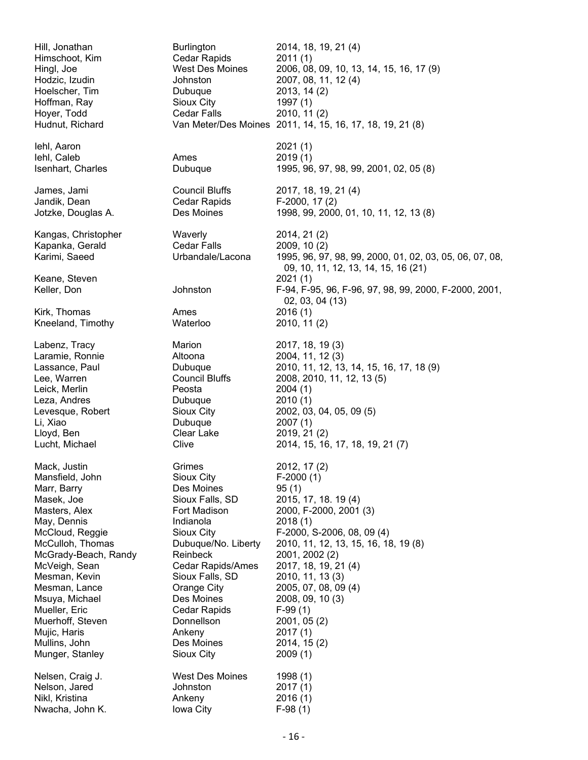Hill, Jonathan Burlington 2014, 18, 19, 21 (4) Himschoot, Kim Cedar Rapids 2011 (1) Hingl, Joe West Des Moines 2006, 08, 09, 10, 13, 14, 15, 16, 17 (9) Hodzic, Izudin Johnston 2007, 08, 11, 12 (4) Hoelscher, Tim Dubuque 2013, 14 (2) Hoffman, Ray Sioux City 1997 (1) Hoyer, Todd Cedar Falls 2010, 11 (2) Hudnut, Richard Van Meter/Des Moines 2011, 14, 15, 16, 17, 18, 19, 21 (8) Iehl, Aaron 2021 (1) Iehl, Caleb **Ames** 2019 (1) Isenhart, Charles Dubuque 1995, 96, 97, 98, 99, 2001, 02, 05 (8) James, Jami Council Bluffs 2017, 18, 19, 21 (4) Jandik, Dean Cedar Rapids F-2000, 17 (2) Jotzke, Douglas A. Des Moines 1998, 99, 2000, 01, 10, 11, 12, 13 (8) Kangas, Christopher Waverly 2014, 21 (2) Kapanka, Gerald Cedar Falls 2009, 10 (2) Karimi, Saeed Urbandale/Lacona 1995, 96, 97, 98, 99, 2000, 01, 02, 03, 05, 06, 07, 08, 09, 10, 11, 12, 13, 14, 15, 16 (21) Keane, Steven 2021 (1) F-94, F-95, 96, F-96, 97, 98, 99, 2000, F-2000, 2001, 02, 03, 04 (13) Kirk, Thomas Ames 2016 (1) Kneeland, Timothy Labenz, Tracy **Marion** Marion 2017, 18, 19 (3) Laramie, Ronnie Altoona 2004, 11, 12 (3) Lassance, Paul Dubuque 2010, 11, 12, 13, 14, 15, 16, 17, 18 (9) Lee, Warren Council Bluffs 2008, 2010, 11, 12, 13 (5) Leick, Merlin **Peosta** Peosta 2004 (1) Leza, Andres **Dubuque** 2010 (1) Levesque, Robert Sioux City 2002, 03, 04, 05, 09 (5) Dubuque 2007 (1) Lloyd, Ben Clear Lake 2019, 21 (2) Lucht, Michael Clive 2014, 15, 16, 17, 18, 19, 21 (7) Mack, Justin **Grimes Communisher** 2012, 17 (2) Mansfield, John Sioux City F-2000 (1) Marr, Barry **Des Moines** 95 (1) Masek, Joe **Sioux Falls, SD** 2015, 17, 18. 19 (4) Masters, Alex Fort Madison 2000, F-2000, 2001 (3) May, Dennis **Indianola** 2018 (1) McCloud, Reggie Sioux City F-2000, S-2006, 08, 09 (4)<br>McCulloh, Thomas Dubuque/No. Liberty 2010, 11, 12, 13, 15, 16, 18 McCulloh, Thomas Dubuque/No. Liberty 2010, 11, 12, 13, 15, 16, 18, 19 (8) McGrady-Beach, Randy Reinbeck 2001, 2002 (2) McVeigh, Sean Cedar Rapids/Ames 2017, 18, 19, 21 (4) Mesman, Kevin Sioux Falls, SD 2010, 11, 13 (3) Mesman, Lance Orange City 2005, 07, 08, 09 (4) Msuya, Michael Des Moines 2008, 09, 10 (3) Mueller, Eric **Cedar Rapids** F-99 (1) Muerhoff, Steven Donnellson 2001, 05 (2) Mujic, Haris **Ankeny** 2017 (1) Mullins, John **Des Moines** 2014, 15 (2)<br>
Munger, Stanley Sioux City 2009 (1) Munger, Stanley Sioux City 2009 (1) Nelsen, Craig J. West Des Moines 1998 (1) Nelson, Jared Johnston 2017 (1) Nikl, Kristina **2016 (1)** Ankeny Nwacha, John K. Iowa City F-98 (1)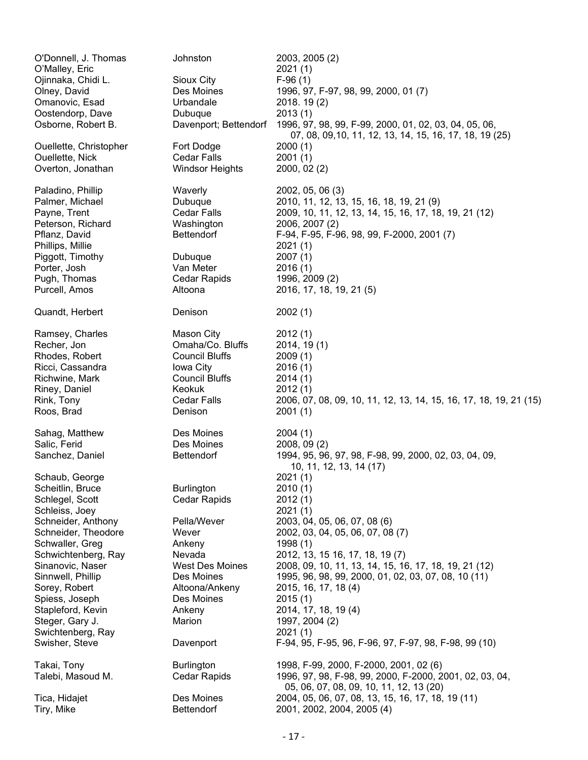| O'Donnell, J. Thomas<br>O'Malley, Eric<br>Ojinnaka, Chidi L.<br>Olney, David<br>Omanovic, Esad<br>Oostendorp, Dave<br>Osborne, Robert B. | Johnston<br>Sioux City<br>Des Moines<br>Urbandale<br>Dubuque<br>Davenport; Bettendorf                                                           | 2003, 2005 (2)<br>2021(1)<br>$F-96(1)$<br>1996, 97, F-97, 98, 99, 2000, 01(7)<br>2018. 19(2)<br>2013(1)<br>1996, 97, 98, 99, F-99, 2000, 01, 02, 03, 04, 05, 06,                                            |
|------------------------------------------------------------------------------------------------------------------------------------------|-------------------------------------------------------------------------------------------------------------------------------------------------|-------------------------------------------------------------------------------------------------------------------------------------------------------------------------------------------------------------|
| Ouellette, Christopher<br>Ouellette, Nick                                                                                                | Fort Dodge<br><b>Cedar Falls</b>                                                                                                                | 07, 08, 09, 10, 11, 12, 13, 14, 15, 16, 17, 18, 19 (25)<br>2000(1)<br>2001(1)                                                                                                                               |
| Overton, Jonathan                                                                                                                        | <b>Windsor Heights</b>                                                                                                                          | 2000, 02 (2)                                                                                                                                                                                                |
| Paladino, Phillip<br>Palmer, Michael<br>Payne, Trent<br>Peterson, Richard<br>Pflanz, David<br>Phillips, Millie<br>Piggott, Timothy       | Waverly<br>Dubuque<br>Cedar Falls<br>Washington<br><b>Bettendorf</b><br>Dubuque                                                                 | 2002, 05, 06 (3)<br>2010, 11, 12, 13, 15, 16, 18, 19, 21 (9)<br>2009, 10, 11, 12, 13, 14, 15, 16, 17, 18, 19, 21 (12)<br>2006, 2007 (2)<br>F-94, F-95, F-96, 98, 99, F-2000, 2001 (7)<br>2021(1)<br>2007(1) |
| Porter, Josh<br>Pugh, Thomas                                                                                                             | Van Meter<br><b>Cedar Rapids</b>                                                                                                                | 2016(1)<br>1996, 2009 (2)                                                                                                                                                                                   |
| Purcell, Amos                                                                                                                            | Altoona                                                                                                                                         | 2016, 17, 18, 19, 21 (5)                                                                                                                                                                                    |
| Quandt, Herbert                                                                                                                          | Denison                                                                                                                                         | 2002(1)                                                                                                                                                                                                     |
| Ramsey, Charles<br>Recher, Jon<br>Rhodes, Robert<br>Ricci, Cassandra<br>Richwine, Mark<br>Riney, Daniel<br>Rink, Tony<br>Roos, Brad      | <b>Mason City</b><br>Omaha/Co. Bluffs<br><b>Council Bluffs</b><br>Iowa City<br><b>Council Bluffs</b><br>Keokuk<br><b>Cedar Falls</b><br>Denison | 2012(1)<br>2014, 19(1)<br>2009(1)<br>2016(1)<br>2014(1)<br>2012(1)<br>2006, 07, 08, 09, 10, 11, 12, 13, 14, 15, 16, 17, 18, 19, 21 (15)<br>2001(1)                                                          |
| Sahag, Matthew<br>Salic, Ferid                                                                                                           | Des Moines<br>Des Moines                                                                                                                        | 2004(1)<br>2008, 09(2)                                                                                                                                                                                      |
| Sanchez, Daniel<br>Schaub, George                                                                                                        | <b>Bettendorf</b>                                                                                                                               | 1994, 95, 96, 97, 98, F-98, 99, 2000, 02, 03, 04, 09,<br>10, 11, 12, 13, 14 (17)<br>2021(1)                                                                                                                 |
| Scheitlin, Bruce<br>Schlegel, Scott                                                                                                      | <b>Burlington</b><br><b>Cedar Rapids</b>                                                                                                        | 2010(1)<br>2012(1)                                                                                                                                                                                          |
| Schleiss, Joey                                                                                                                           |                                                                                                                                                 | 2021(1)                                                                                                                                                                                                     |
| Schneider, Anthony                                                                                                                       | Pella/Wever                                                                                                                                     | 2003, 04, 05, 06, 07, 08 (6)                                                                                                                                                                                |
| Schneider, Theodore<br>Schwaller, Greg                                                                                                   | Wever<br>Ankeny                                                                                                                                 | 2002, 03, 04, 05, 06, 07, 08 (7)<br>1998(1)                                                                                                                                                                 |
| Schwichtenberg, Ray                                                                                                                      | Nevada                                                                                                                                          | 2012, 13, 15 16, 17, 18, 19 (7)                                                                                                                                                                             |
| Sinanovic, Naser                                                                                                                         | West Des Moines                                                                                                                                 | 2008, 09, 10, 11, 13, 14, 15, 16, 17, 18, 19, 21 (12)                                                                                                                                                       |
| Sinnwell, Phillip                                                                                                                        | Des Moines                                                                                                                                      | 1995, 96, 98, 99, 2000, 01, 02, 03, 07, 08, 10 (11)                                                                                                                                                         |
| Sorey, Robert<br>Spiess, Joseph                                                                                                          | Altoona/Ankeny<br>Des Moines                                                                                                                    | 2015, 16, 17, 18 (4)<br>2015(1)                                                                                                                                                                             |
| Stapleford, Kevin                                                                                                                        | Ankeny                                                                                                                                          | 2014, 17, 18, 19 (4)                                                                                                                                                                                        |
| Steger, Gary J.                                                                                                                          | Marion                                                                                                                                          | 1997, 2004 (2)                                                                                                                                                                                              |
| Swichtenberg, Ray                                                                                                                        |                                                                                                                                                 | 2021(1)                                                                                                                                                                                                     |
| Swisher, Steve                                                                                                                           | Davenport                                                                                                                                       | F-94, 95, F-95, 96, F-96, 97, F-97, 98, F-98, 99 (10)                                                                                                                                                       |
| Takai, Tony<br>Talebi, Masoud M.                                                                                                         | <b>Burlington</b><br><b>Cedar Rapids</b>                                                                                                        | 1998, F-99, 2000, F-2000, 2001, 02 (6)<br>1996, 97, 98, F-98, 99, 2000, F-2000, 2001, 02, 03, 04,<br>05, 06, 07, 08, 09, 10, 11, 12, 13 (20)                                                                |
| Tica, Hidajet<br>Tiry, Mike                                                                                                              | Des Moines<br>Bettendorf                                                                                                                        | 2004, 05, 06, 07, 08, 13, 15, 16, 17, 18, 19 (11)<br>2001, 2002, 2004, 2005 (4)                                                                                                                             |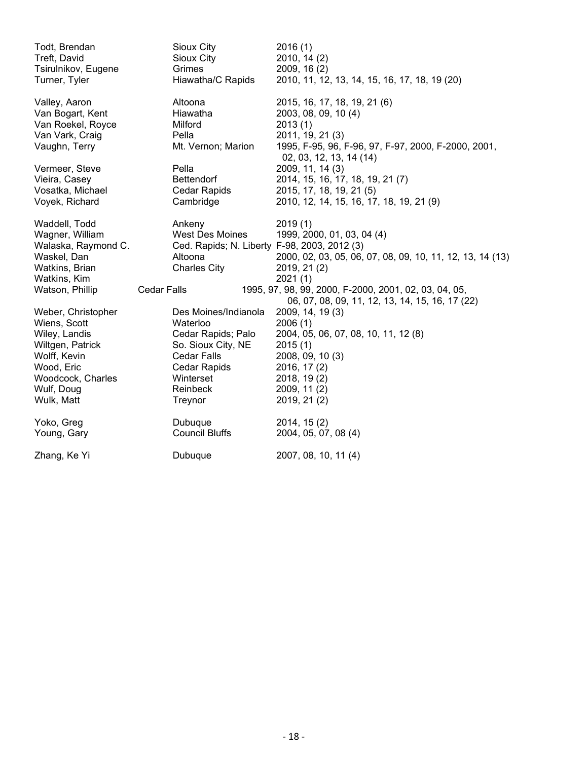| Todt, Brendan       | Sioux City                                   | 2016(1)                                                                        |
|---------------------|----------------------------------------------|--------------------------------------------------------------------------------|
| Treft, David        | Sioux City                                   | 2010, 14 (2)                                                                   |
| Tsirulnikov, Eugene | Grimes                                       | 2009, 16 (2)                                                                   |
| Turner, Tyler       | Hiawatha/C Rapids                            | 2010, 11, 12, 13, 14, 15, 16, 17, 18, 19 (20)                                  |
| Valley, Aaron       | Altoona                                      | 2015, 16, 17, 18, 19, 21 (6)                                                   |
| Van Bogart, Kent    | Hiawatha                                     | 2003, 08, 09, 10 (4)                                                           |
| Van Roekel, Royce   | Milford                                      | 2013(1)                                                                        |
| Van Vark, Craig     | Pella                                        | 2011, 19, 21 (3)                                                               |
| Vaughn, Terry       | Mt. Vernon; Marion                           | 1995, F-95, 96, F-96, 97, F-97, 2000, F-2000, 2001,<br>02, 03, 12, 13, 14 (14) |
| Vermeer, Steve      | Pella                                        | 2009, 11, 14 (3)                                                               |
| Vieira, Casey       | <b>Bettendorf</b>                            | 2014, 15, 16, 17, 18, 19, 21 (7)                                               |
| Vosatka, Michael    | Cedar Rapids                                 | 2015, 17, 18, 19, 21 (5)                                                       |
| Voyek, Richard      | Cambridge                                    | 2010, 12, 14, 15, 16, 17, 18, 19, 21 (9)                                       |
|                     |                                              |                                                                                |
| Waddell, Todd       | Ankeny                                       | 2019(1)                                                                        |
| Wagner, William     | West Des Moines                              | 1999, 2000, 01, 03, 04 (4)                                                     |
| Walaska, Raymond C. | Ced. Rapids; N. Liberty F-98, 2003, 2012 (3) |                                                                                |
| Waskel, Dan         | Altoona                                      | 2000, 02, 03, 05, 06, 07, 08, 09, 10, 11, 12, 13, 14 (13)                      |
| Watkins, Brian      | <b>Charles City</b>                          | 2019, 21 (2)                                                                   |
| Watkins, Kim        |                                              | 2021(1)                                                                        |
| Watson, Phillip     | <b>Cedar Falls</b>                           | 1995, 97, 98, 99, 2000, F-2000, 2001, 02, 03, 04, 05,                          |
|                     |                                              | 06, 07, 08, 09, 11, 12, 13, 14, 15, 16, 17 (22)                                |
| Weber, Christopher  | Des Moines/Indianola                         | 2009, 14, 19 (3)                                                               |
| Wiens, Scott        | Waterloo                                     | 2006(1)                                                                        |
| Wiley, Landis       | Cedar Rapids; Palo                           | 2004, 05, 06, 07, 08, 10, 11, 12(8)                                            |
| Wiltgen, Patrick    | So. Sioux City, NE                           | 2015(1)                                                                        |
| Wolff, Kevin        | <b>Cedar Falls</b>                           | 2008, 09, 10 (3)                                                               |
| Wood, Eric          | Cedar Rapids                                 | 2016, 17 (2)                                                                   |
| Woodcock, Charles   | Winterset                                    | 2018, 19(2)                                                                    |
| Wulf, Doug          | Reinbeck                                     | 2009, 11 (2)                                                                   |
| Wulk, Matt          | Treynor                                      | 2019, 21 (2)                                                                   |
| Yoko, Greg          | Dubuque                                      | 2014, 15(2)                                                                    |
| Young, Gary         | <b>Council Bluffs</b>                        | 2004, 05, 07, 08 (4)                                                           |
| Zhang, Ke Yi        | Dubuque                                      | 2007, 08, 10, 11 (4)                                                           |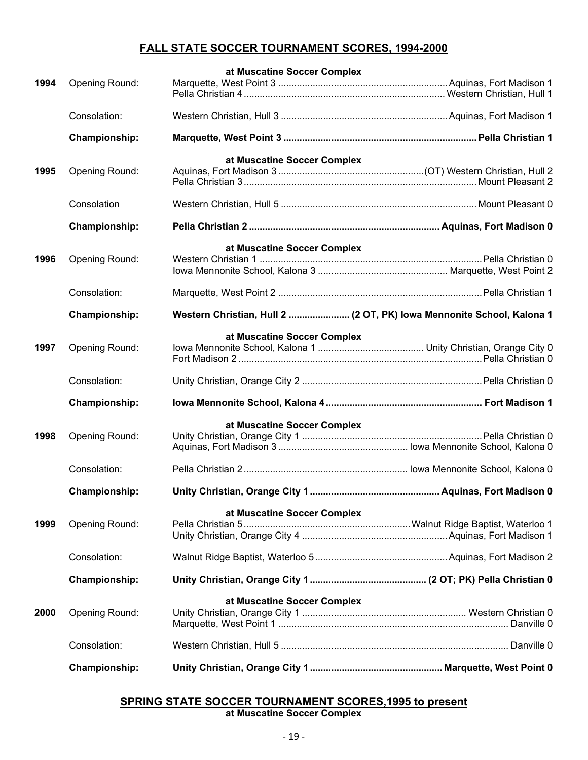## **FALL STATE SOCCER TOURNAMENT SCORES, 1994-2000**

|      |                       | at Muscatine Soccer Complex                                           |  |
|------|-----------------------|-----------------------------------------------------------------------|--|
| 1994 | Opening Round:        |                                                                       |  |
|      | Consolation:          |                                                                       |  |
|      | Championship:         |                                                                       |  |
|      |                       | at Muscatine Soccer Complex                                           |  |
| 1995 | Opening Round:        |                                                                       |  |
|      | Consolation           |                                                                       |  |
|      | <b>Championship:</b>  |                                                                       |  |
|      |                       | at Muscatine Soccer Complex                                           |  |
| 1996 | Opening Round:        |                                                                       |  |
|      | Consolation:          |                                                                       |  |
|      | <b>Championship:</b>  | Western Christian, Hull 2  (2 OT, PK) lowa Mennonite School, Kalona 1 |  |
|      |                       | at Muscatine Soccer Complex                                           |  |
| 1997 | <b>Opening Round:</b> |                                                                       |  |
|      | Consolation:          |                                                                       |  |
|      | Championship:         |                                                                       |  |
|      |                       | at Muscatine Soccer Complex                                           |  |
| 1998 | <b>Opening Round:</b> |                                                                       |  |
|      |                       |                                                                       |  |
|      | Consolation:          |                                                                       |  |
|      | Championship:         |                                                                       |  |
|      |                       | at Muscatine Soccer Complex                                           |  |
| 1999 | <b>Opening Round:</b> |                                                                       |  |
|      |                       |                                                                       |  |
|      | Consolation:          |                                                                       |  |
|      | <b>Championship:</b>  |                                                                       |  |
| 2000 | <b>Opening Round:</b> | at Muscatine Soccer Complex                                           |  |
|      | Consolation:          |                                                                       |  |
|      | <b>Championship:</b>  |                                                                       |  |

## **SPRING STATE SOCCER TOURNAMENT SCORES,1995 to present at Muscatine Soccer Complex**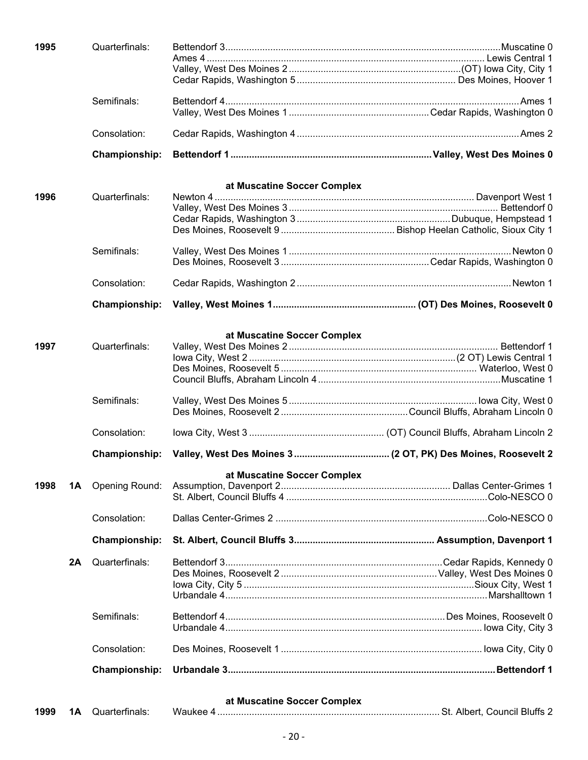| 1995       | Quarterfinals:        |                                                              |  |
|------------|-----------------------|--------------------------------------------------------------|--|
|            |                       |                                                              |  |
|            |                       |                                                              |  |
|            |                       |                                                              |  |
|            | Semifinals:           |                                                              |  |
|            |                       |                                                              |  |
|            | Consolation:          |                                                              |  |
|            | Championship:         |                                                              |  |
|            |                       | at Muscatine Soccer Complex                                  |  |
| 1996       | Quarterfinals:        |                                                              |  |
|            |                       |                                                              |  |
|            |                       |                                                              |  |
|            |                       |                                                              |  |
|            |                       |                                                              |  |
|            | Semifinals:           |                                                              |  |
|            |                       |                                                              |  |
|            |                       |                                                              |  |
|            | Consolation:          |                                                              |  |
|            |                       |                                                              |  |
|            | Championship:         |                                                              |  |
|            |                       | at Muscatine Soccer Complex                                  |  |
| 1997       | Quarterfinals:        |                                                              |  |
|            |                       |                                                              |  |
|            |                       |                                                              |  |
|            |                       |                                                              |  |
|            |                       |                                                              |  |
|            | Semifinals:           |                                                              |  |
|            |                       |                                                              |  |
|            |                       |                                                              |  |
|            | Consolation:          |                                                              |  |
|            | Championship:         | Valley, West Des Moines 3 (2 OT, PK) Des Moines, Roosevelt 2 |  |
|            |                       | at Muscatine Soccer Complex                                  |  |
| 1998<br>1Α | <b>Opening Round:</b> |                                                              |  |
|            |                       |                                                              |  |
|            |                       |                                                              |  |
|            | Consolation:          |                                                              |  |
|            | <b>Championship:</b>  |                                                              |  |
| 2A         | Quarterfinals:        |                                                              |  |
|            |                       |                                                              |  |
|            |                       |                                                              |  |
|            |                       |                                                              |  |
|            |                       |                                                              |  |
|            | Semifinals:           |                                                              |  |
|            |                       |                                                              |  |
|            | Consolation:          |                                                              |  |
|            | Championship:         |                                                              |  |
|            |                       | at Muscatine Soccer Complex                                  |  |

| 1999 | 1Α | $\sim$ $\sim$<br>Quarterfinals <sup>-</sup> | Waukee | oι. | `* Albert, Council Bluffs ∠ |
|------|----|---------------------------------------------|--------|-----|-----------------------------|
|------|----|---------------------------------------------|--------|-----|-----------------------------|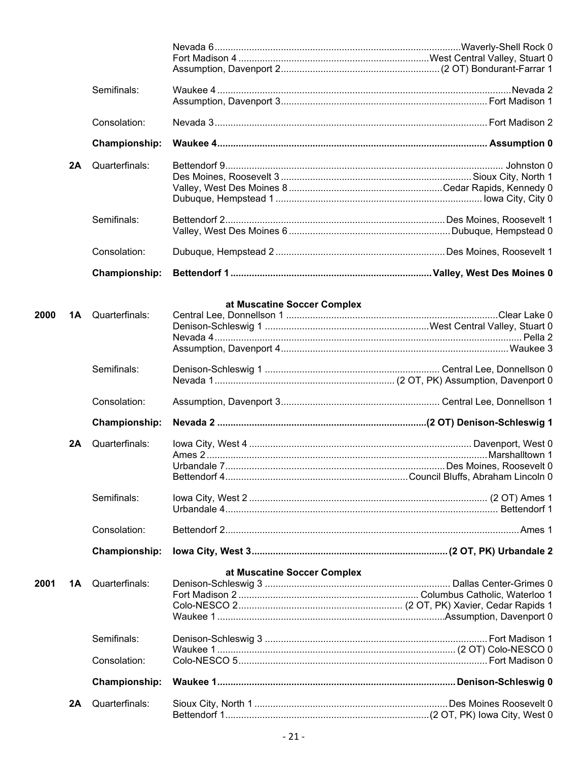|      |    | Semifinals:          |                             |  |
|------|----|----------------------|-----------------------------|--|
|      |    | Consolation:         |                             |  |
|      |    | <b>Championship:</b> |                             |  |
|      | 2A | Quarterfinals:       |                             |  |
|      |    | Semifinals:          |                             |  |
|      |    | Consolation:         |                             |  |
|      |    | <b>Championship:</b> |                             |  |
| 2000 | 1A | Quarterfinals:       | at Muscatine Soccer Complex |  |
|      |    | Semifinals:          |                             |  |
|      |    | Consolation:         |                             |  |
|      |    | <b>Championship:</b> |                             |  |
|      | 2A | Quarterfinals:       |                             |  |
|      |    | Semifinals:          |                             |  |
|      |    | Consolation:         |                             |  |
|      |    | Championship:        |                             |  |
| 2001 | 1Α | Quarterfinals:       | at Muscatine Soccer Complex |  |
|      |    | Semifinals:          |                             |  |
|      |    | Consolation:         |                             |  |
|      |    | <b>Championship:</b> |                             |  |
|      | 2A | Quarterfinals:       |                             |  |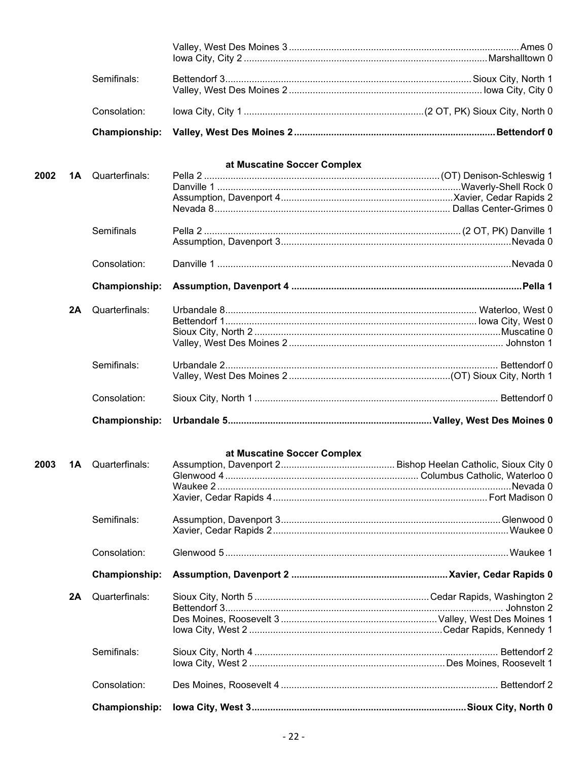|      |    | Semifinals:          |                             |  |
|------|----|----------------------|-----------------------------|--|
|      |    |                      |                             |  |
|      |    | Consolation:         |                             |  |
|      |    | <b>Championship:</b> |                             |  |
|      |    |                      | at Muscatine Soccer Complex |  |
| 2002 | 1A | Quarterfinals:       |                             |  |
|      |    |                      |                             |  |
|      |    |                      |                             |  |
|      |    |                      |                             |  |
|      |    | Semifinals           |                             |  |
|      |    | Consolation:         |                             |  |
|      |    |                      |                             |  |
|      |    | <b>Championship:</b> |                             |  |
|      | 2A | Quarterfinals:       |                             |  |
|      |    |                      |                             |  |
|      |    |                      |                             |  |
|      |    |                      |                             |  |
|      |    | Semifinals:          |                             |  |
|      |    |                      |                             |  |
|      |    | Consolation:         |                             |  |
|      |    | <b>Championship:</b> |                             |  |
|      |    |                      |                             |  |
| 2003 |    |                      | at Muscatine Soccer Complex |  |
|      | 1A | Quarterfinals:       |                             |  |
|      |    |                      |                             |  |
|      |    |                      |                             |  |
|      |    | Semifinals:          |                             |  |
|      |    |                      |                             |  |
|      |    | Consolation:         |                             |  |
|      |    | <b>Championship:</b> |                             |  |
|      |    |                      |                             |  |
|      | 2A | Quarterfinals:       |                             |  |
|      |    |                      |                             |  |
|      |    |                      |                             |  |
|      |    | Semifinals:          |                             |  |
|      |    |                      |                             |  |
|      |    | Consolation:         |                             |  |
|      |    | Championship:        |                             |  |
|      |    |                      |                             |  |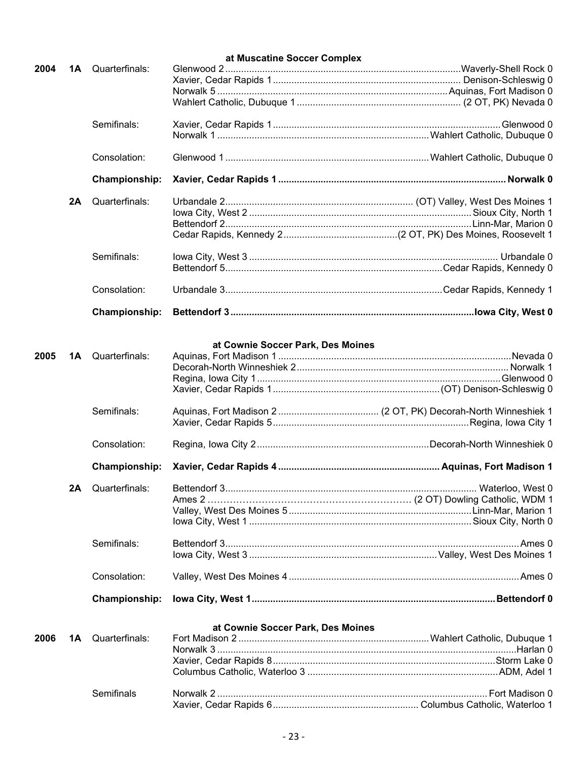|      |    |                          | at Muscatine Soccer Complex       |  |
|------|----|--------------------------|-----------------------------------|--|
| 2004 |    | <b>1A</b> Quarterfinals: |                                   |  |
|      |    |                          |                                   |  |
|      |    |                          |                                   |  |
|      |    |                          |                                   |  |
|      |    | Semifinals:              |                                   |  |
|      |    |                          |                                   |  |
|      |    | Consolation:             |                                   |  |
|      |    | <b>Championship:</b>     |                                   |  |
|      | 2A | Quarterfinals:           |                                   |  |
|      |    |                          |                                   |  |
|      |    |                          |                                   |  |
|      |    |                          |                                   |  |
|      |    | Semifinals:              |                                   |  |
|      |    |                          |                                   |  |
|      |    | Consolation:             |                                   |  |
|      |    | <b>Championship:</b>     |                                   |  |
|      |    |                          | at Cownie Soccer Park, Des Moines |  |
| 2005 | 1A | Quarterfinals:           |                                   |  |
|      |    |                          |                                   |  |
|      |    |                          |                                   |  |
|      |    |                          |                                   |  |
|      |    | Semifinals:              |                                   |  |
|      |    |                          |                                   |  |
|      |    | Consolation:             |                                   |  |
|      |    |                          |                                   |  |
|      |    | Championship:            |                                   |  |
|      | 2Α | Quarterfinals:           |                                   |  |
|      |    |                          |                                   |  |
|      |    |                          |                                   |  |
|      |    |                          |                                   |  |
|      |    | Semifinals:              |                                   |  |
|      |    |                          |                                   |  |
|      |    | Consolation:             |                                   |  |
|      |    | Championship:            |                                   |  |
|      |    |                          | at Cownie Soccer Park, Des Moines |  |
| 2006 | 1A | Quarterfinals:           |                                   |  |
|      |    |                          |                                   |  |
|      |    |                          |                                   |  |
|      |    |                          |                                   |  |
|      |    |                          |                                   |  |
|      |    | Semifinals               |                                   |  |

Xavier, Cedar Rapids 6....................................................... Columbus Catholic, Waterloo 1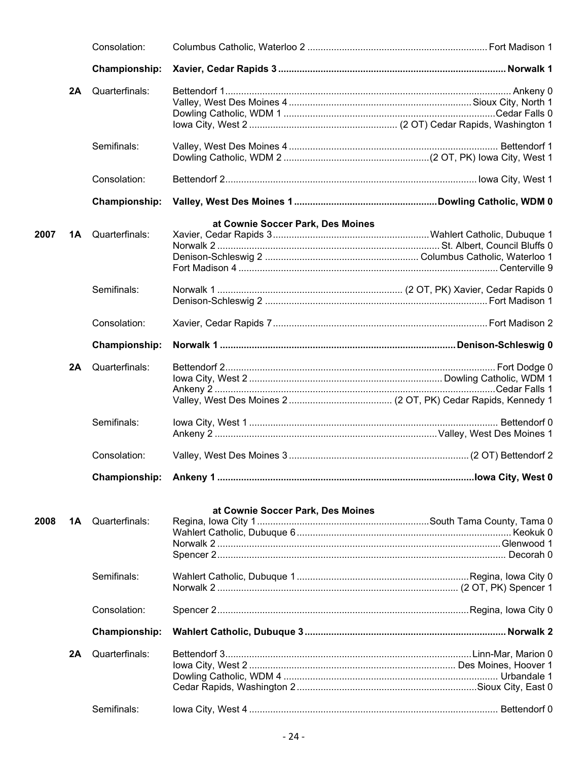|      |    | Consolation:         |                                   |  |
|------|----|----------------------|-----------------------------------|--|
|      |    | Championship:        |                                   |  |
|      | 2A | Quarterfinals:       |                                   |  |
|      |    |                      |                                   |  |
|      |    |                      |                                   |  |
|      |    |                      |                                   |  |
|      |    | Semifinals:          |                                   |  |
|      |    |                      |                                   |  |
|      |    | Consolation:         |                                   |  |
|      |    | <b>Championship:</b> |                                   |  |
|      |    |                      | at Cownie Soccer Park, Des Moines |  |
| 2007 | 1Α | Quarterfinals:       |                                   |  |
|      |    |                      |                                   |  |
|      |    |                      |                                   |  |
|      |    |                      |                                   |  |
|      |    | Semifinals:          |                                   |  |
|      |    |                      |                                   |  |
|      |    | Consolation:         |                                   |  |
|      |    | Championship:        |                                   |  |
|      | 2A | Quarterfinals:       |                                   |  |
|      |    |                      |                                   |  |
|      |    |                      |                                   |  |
|      |    |                      |                                   |  |
|      |    | Semifinals:          |                                   |  |
|      |    |                      |                                   |  |
|      |    | Consolation:         |                                   |  |
|      |    | Championship:        |                                   |  |
|      |    |                      |                                   |  |
| 2008 | 1A | Quarterfinals:       | at Cownie Soccer Park, Des Moines |  |
|      |    |                      |                                   |  |
|      |    |                      |                                   |  |
|      |    |                      |                                   |  |
|      |    |                      |                                   |  |
|      |    | Semifinals:          |                                   |  |
|      |    |                      |                                   |  |
|      |    | Consolation:         |                                   |  |
|      |    | Championship:        |                                   |  |
|      | 2A | Quarterfinals:       |                                   |  |
|      |    |                      |                                   |  |
|      |    |                      |                                   |  |
|      |    |                      |                                   |  |
|      |    | Semifinals:          |                                   |  |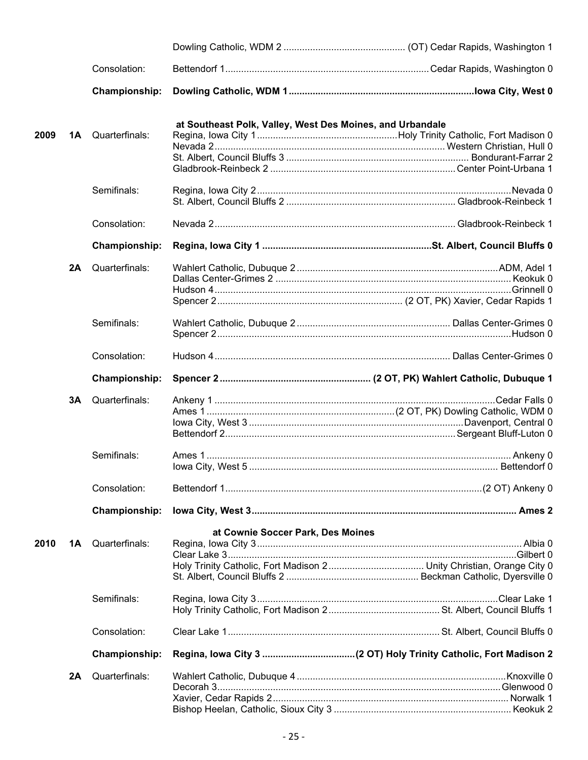|      |    | Consolation:         |                                                           |  |
|------|----|----------------------|-----------------------------------------------------------|--|
|      |    | Championship:        |                                                           |  |
| 2009 | 1Α | Quarterfinals:       | at Southeast Polk, Valley, West Des Moines, and Urbandale |  |
|      |    |                      |                                                           |  |
|      |    |                      |                                                           |  |
|      |    |                      |                                                           |  |
|      |    | Semifinals:          |                                                           |  |
|      |    |                      |                                                           |  |
|      |    | Consolation:         |                                                           |  |
|      |    | <b>Championship:</b> |                                                           |  |
|      | 2A | Quarterfinals:       |                                                           |  |
|      |    |                      |                                                           |  |
|      |    |                      |                                                           |  |
|      |    |                      |                                                           |  |
|      |    | Semifinals:          |                                                           |  |
|      |    | Consolation:         |                                                           |  |
|      |    | Championship:        |                                                           |  |
|      | 3A | Quarterfinals:       |                                                           |  |
|      |    |                      |                                                           |  |
|      |    |                      |                                                           |  |
|      |    |                      |                                                           |  |
|      |    | Semifinals:          |                                                           |  |
|      |    |                      |                                                           |  |
|      |    | Consolation:         |                                                           |  |
|      |    | <b>Championship:</b> |                                                           |  |
|      |    |                      | at Cownie Soccer Park, Des Moines                         |  |
| 2010 | 1Α | Quarterfinals:       |                                                           |  |
|      |    |                      |                                                           |  |
|      |    |                      |                                                           |  |
|      |    |                      |                                                           |  |
|      |    | Semifinals:          |                                                           |  |
|      |    |                      |                                                           |  |
|      |    | Consolation:         |                                                           |  |
|      |    | <b>Championship:</b> |                                                           |  |
|      | 2A | Quarterfinals:       |                                                           |  |
|      |    |                      |                                                           |  |
|      |    |                      |                                                           |  |
|      |    |                      |                                                           |  |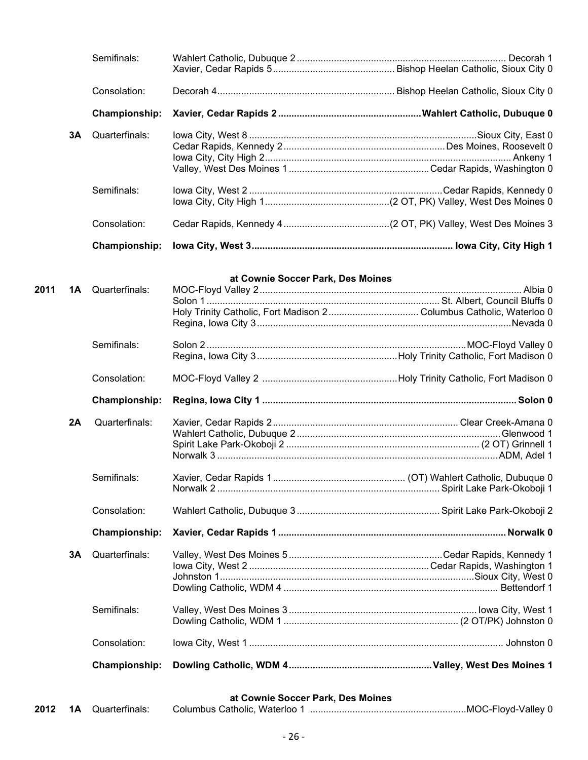|      |    | Semifinals:          |                                   |                                                                    |
|------|----|----------------------|-----------------------------------|--------------------------------------------------------------------|
|      |    |                      |                                   |                                                                    |
|      |    | Consolation:         |                                   |                                                                    |
|      |    | <b>Championship:</b> |                                   |                                                                    |
|      | 3Α | Quarterfinals:       |                                   |                                                                    |
|      |    |                      |                                   |                                                                    |
|      |    |                      |                                   |                                                                    |
|      |    |                      |                                   |                                                                    |
|      |    | Semifinals:          |                                   |                                                                    |
|      |    |                      |                                   |                                                                    |
|      |    | Consolation:         |                                   |                                                                    |
|      |    |                      |                                   |                                                                    |
|      |    | <b>Championship:</b> |                                   |                                                                    |
|      |    |                      | at Cownie Soccer Park, Des Moines |                                                                    |
| 2011 | 1A | Quarterfinals:       |                                   |                                                                    |
|      |    |                      |                                   |                                                                    |
|      |    |                      |                                   | Holy Trinity Catholic, Fort Madison 2Columbus Catholic, Waterloo 0 |
|      |    |                      |                                   |                                                                    |
|      |    |                      |                                   |                                                                    |
|      |    | Semifinals:          |                                   |                                                                    |
|      |    |                      |                                   |                                                                    |
|      |    | Consolation:         |                                   |                                                                    |
|      |    | <b>Championship:</b> |                                   |                                                                    |
|      | 2A | Quarterfinals:       |                                   |                                                                    |
|      |    |                      |                                   |                                                                    |
|      |    |                      |                                   |                                                                    |
|      |    |                      |                                   |                                                                    |
|      |    |                      |                                   |                                                                    |
|      |    | Semifinals:          |                                   |                                                                    |
|      |    |                      |                                   |                                                                    |
|      |    | Consolation:         |                                   |                                                                    |
|      |    | <b>Championship:</b> |                                   |                                                                    |
|      |    |                      |                                   |                                                                    |
|      | 3Α | Quarterfinals:       |                                   |                                                                    |
|      |    |                      |                                   |                                                                    |
|      |    |                      |                                   |                                                                    |
|      |    |                      |                                   |                                                                    |
|      |    | Semifinals:          |                                   |                                                                    |
|      |    |                      |                                   |                                                                    |
|      |    |                      |                                   |                                                                    |
|      |    | Consolation:         |                                   |                                                                    |
|      |    | <b>Championship:</b> |                                   |                                                                    |
|      |    |                      |                                   |                                                                    |

**at Cownie Soccer Park, Des Moines**

|  |  | <b>2012 1A</b> Quarterfinals: | Columbus Catholic. Waterloo 1 |  |
|--|--|-------------------------------|-------------------------------|--|
|--|--|-------------------------------|-------------------------------|--|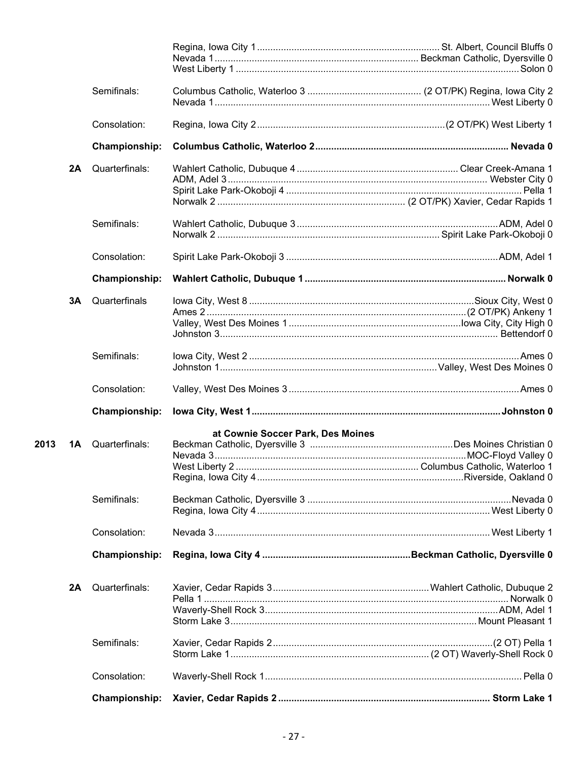|      |    | Semifinals:    |                                   |  |
|------|----|----------------|-----------------------------------|--|
|      |    | Consolation:   |                                   |  |
|      |    | Championship:  |                                   |  |
|      | 2A | Quarterfinals: |                                   |  |
|      |    |                |                                   |  |
|      |    |                |                                   |  |
|      |    | Semifinals:    |                                   |  |
|      |    |                |                                   |  |
|      |    | Consolation:   |                                   |  |
|      |    | Championship:  |                                   |  |
|      | 3A | Quarterfinals  |                                   |  |
|      |    |                |                                   |  |
|      |    |                |                                   |  |
|      |    |                |                                   |  |
|      |    | Semifinals:    |                                   |  |
|      |    |                |                                   |  |
|      |    | Consolation:   |                                   |  |
|      |    | Championship:  |                                   |  |
|      |    |                | at Cownie Soccer Park, Des Moines |  |
| 2013 | 1A | Quarterfinals: |                                   |  |
|      |    |                |                                   |  |
|      |    |                |                                   |  |
|      |    |                |                                   |  |
|      |    | Semifinals:    |                                   |  |
|      |    |                |                                   |  |
|      |    | Consolation:   |                                   |  |
|      |    | Championship:  |                                   |  |
|      | 2A | Quarterfinals: |                                   |  |
|      |    |                |                                   |  |
|      |    |                |                                   |  |
|      |    |                |                                   |  |
|      |    | Semifinals:    |                                   |  |
|      |    |                |                                   |  |
|      |    | Consolation:   |                                   |  |
|      |    | Championship:  |                                   |  |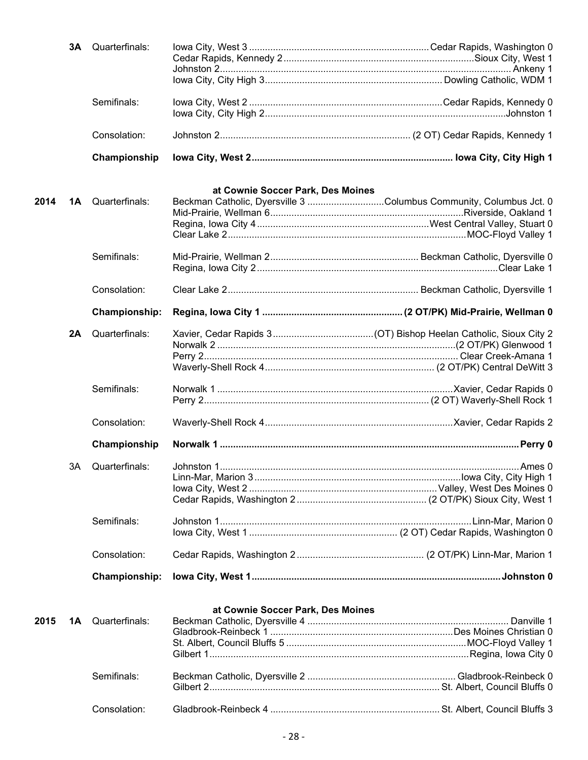|      |     | <b>3A</b> Quarterfinals: |                                                                                                         |        |
|------|-----|--------------------------|---------------------------------------------------------------------------------------------------------|--------|
|      |     |                          |                                                                                                         |        |
|      |     | Semifinals:              |                                                                                                         |        |
|      |     | Consolation:             |                                                                                                         |        |
|      |     | Championship             |                                                                                                         |        |
|      |     |                          |                                                                                                         |        |
| 2014 | 1A  | Quarterfinals:           | at Cownie Soccer Park, Des Moines<br>Beckman Catholic, Dyersville 3 Columbus Community, Columbus Jct. 0 |        |
|      |     |                          |                                                                                                         |        |
|      |     |                          |                                                                                                         |        |
|      |     |                          |                                                                                                         |        |
|      |     | Semifinals:              |                                                                                                         |        |
|      |     |                          |                                                                                                         |        |
|      |     | Consolation:             |                                                                                                         |        |
|      |     | <b>Championship:</b>     |                                                                                                         |        |
|      | 2A  | Quarterfinals:           |                                                                                                         |        |
|      |     |                          |                                                                                                         |        |
|      |     |                          |                                                                                                         |        |
|      |     |                          |                                                                                                         |        |
|      |     | Semifinals:              |                                                                                                         |        |
|      |     |                          |                                                                                                         |        |
|      |     | Consolation:             |                                                                                                         |        |
|      |     | Championship             |                                                                                                         |        |
|      | 3A. | Quarterfinals:           | Johnston 1.                                                                                             | Ames 0 |
|      |     |                          |                                                                                                         |        |
|      |     |                          |                                                                                                         |        |
|      |     |                          |                                                                                                         |        |
|      |     | Semifinals:              |                                                                                                         |        |
|      |     |                          |                                                                                                         |        |
|      |     | Consolation:             |                                                                                                         |        |
|      |     | <b>Championship:</b>     |                                                                                                         |        |
|      |     |                          |                                                                                                         |        |
|      |     |                          | at Cownie Soccer Park, Des Moines                                                                       |        |
| 2015 | 1A  | Quarterfinals:           |                                                                                                         |        |
|      |     |                          |                                                                                                         |        |
|      |     |                          |                                                                                                         |        |
|      |     |                          |                                                                                                         |        |
|      |     | Semifinals:              |                                                                                                         |        |
|      |     |                          |                                                                                                         |        |
|      |     | Consolation:             |                                                                                                         |        |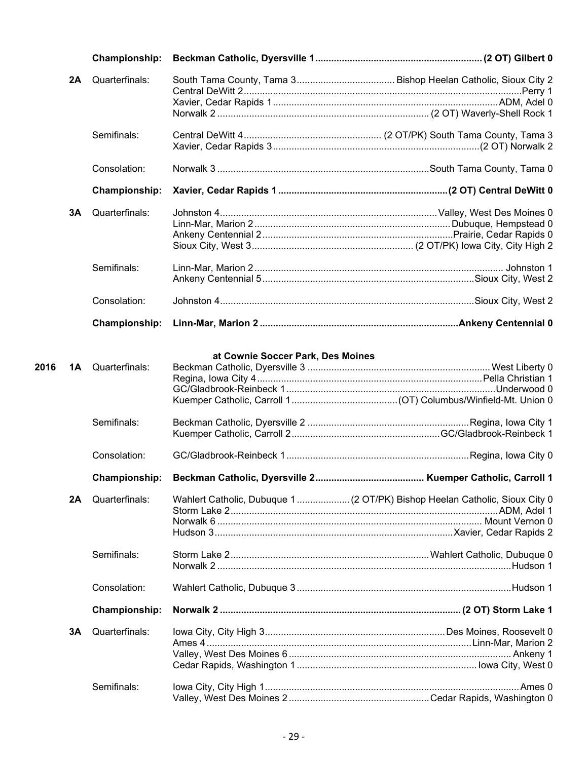|      |    | <b>Championship:</b> |                                   |                                                                             |
|------|----|----------------------|-----------------------------------|-----------------------------------------------------------------------------|
|      | 2A | Quarterfinals:       |                                   |                                                                             |
|      |    |                      |                                   |                                                                             |
|      |    |                      |                                   |                                                                             |
|      |    | Semifinals:          |                                   |                                                                             |
|      |    | Consolation:         |                                   |                                                                             |
|      |    | <b>Championship:</b> |                                   |                                                                             |
|      | 3A | Quarterfinals:       |                                   |                                                                             |
|      |    |                      |                                   |                                                                             |
|      |    |                      |                                   |                                                                             |
|      |    |                      |                                   |                                                                             |
|      |    | Semifinals:          |                                   |                                                                             |
|      |    |                      |                                   |                                                                             |
|      |    | Consolation:         |                                   |                                                                             |
|      |    | <b>Championship:</b> |                                   |                                                                             |
| 2016 | 1A | Quarterfinals:       | at Cownie Soccer Park, Des Moines |                                                                             |
|      |    | Semifinals:          |                                   |                                                                             |
|      |    |                      |                                   |                                                                             |
|      |    | Consolation:         |                                   |                                                                             |
|      |    |                      |                                   |                                                                             |
|      | 2A | Quarterfinals:       |                                   | Wahlert Catholic, Dubuque 1  (2 OT/PK) Bishop Heelan Catholic, Sioux City 0 |
|      |    | Semifinals:          |                                   |                                                                             |
|      |    |                      |                                   |                                                                             |
|      |    | Consolation:         |                                   |                                                                             |
|      |    | Championship:        |                                   |                                                                             |
|      | 3A | Quarterfinals:       |                                   |                                                                             |
|      |    |                      |                                   |                                                                             |
|      |    |                      |                                   |                                                                             |
|      |    |                      |                                   |                                                                             |
|      |    | Semifinals:          |                                   |                                                                             |

Valley, West Des Moines 2 .....................................................Cedar Rapids, Washington 0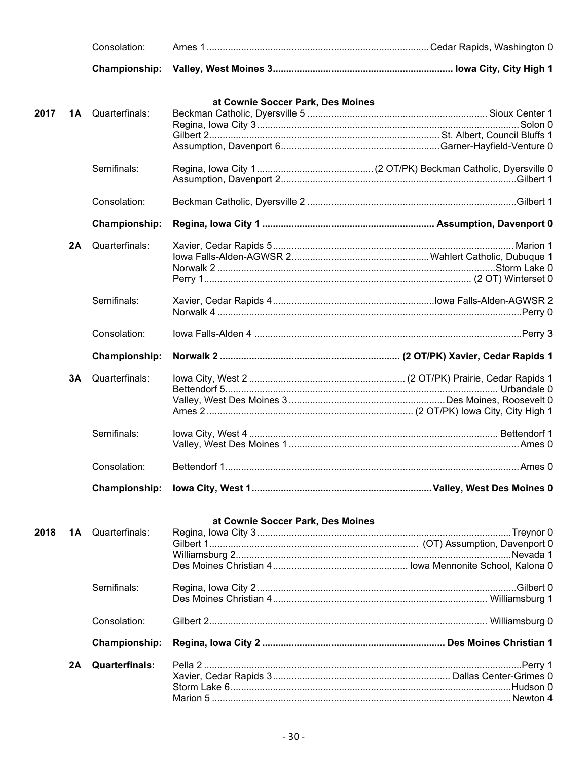|      |    | Consolation:             |                                   |  |
|------|----|--------------------------|-----------------------------------|--|
|      |    | Championship:            |                                   |  |
|      |    |                          | at Cownie Soccer Park, Des Moines |  |
| 2017 | 1A | Quarterfinals:           |                                   |  |
|      |    |                          |                                   |  |
|      |    |                          |                                   |  |
|      |    |                          |                                   |  |
|      |    | Semifinals:              |                                   |  |
|      |    |                          |                                   |  |
|      |    | Consolation:             |                                   |  |
|      |    | Championship:            |                                   |  |
|      | 2A | Quarterfinals:           |                                   |  |
|      |    |                          |                                   |  |
|      |    |                          |                                   |  |
|      |    |                          |                                   |  |
|      |    | Semifinals:              |                                   |  |
|      |    |                          |                                   |  |
|      |    | Consolation:             |                                   |  |
|      |    | <b>Championship:</b>     |                                   |  |
|      | 3Α | Quarterfinals:           |                                   |  |
|      |    |                          |                                   |  |
|      |    |                          |                                   |  |
|      |    |                          |                                   |  |
|      |    | Semifinals:              |                                   |  |
|      |    |                          |                                   |  |
|      |    | Consolation:             |                                   |  |
|      |    |                          |                                   |  |
|      |    |                          |                                   |  |
|      |    |                          | at Cownie Soccer Park, Des Moines |  |
| 2018 |    | <b>1A</b> Quarterfinals: |                                   |  |
|      |    |                          |                                   |  |
|      |    |                          |                                   |  |
|      |    |                          |                                   |  |
|      |    | Semifinals:              |                                   |  |
|      |    |                          |                                   |  |
|      |    | Consolation:             |                                   |  |
|      |    | <b>Championship:</b>     |                                   |  |
|      | 2Α | <b>Quarterfinals:</b>    |                                   |  |
|      |    |                          |                                   |  |
|      |    |                          |                                   |  |
|      |    |                          |                                   |  |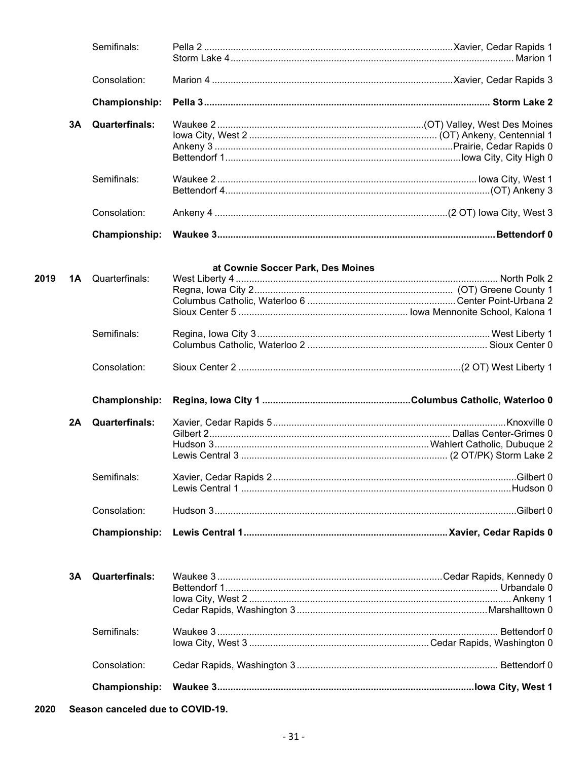|      |    | Semifinals:           |                                   |  |
|------|----|-----------------------|-----------------------------------|--|
|      |    | Consolation:          |                                   |  |
|      |    | <b>Championship:</b>  |                                   |  |
|      | 3A | <b>Quarterfinals:</b> |                                   |  |
|      |    |                       |                                   |  |
|      |    | Semifinals:           |                                   |  |
|      |    | Consolation:          |                                   |  |
|      |    | Championship:         |                                   |  |
|      |    |                       | at Cownie Soccer Park, Des Moines |  |
| 2019 | 1Α | Quarterfinals:        |                                   |  |
|      |    | Semifinals:           |                                   |  |
|      |    | Consolation:          |                                   |  |
|      |    | <b>Championship:</b>  |                                   |  |
|      | 2A | <b>Quarterfinals:</b> |                                   |  |
|      |    |                       |                                   |  |
|      |    | Semifinals:           |                                   |  |
|      |    | Consolation:          |                                   |  |
|      |    | Championship:         |                                   |  |
|      | 3A | <b>Quarterfinals:</b> |                                   |  |
|      |    | Semifinals:           |                                   |  |
|      |    | Consolation:          |                                   |  |
|      |    | <b>Championship:</b>  |                                   |  |
|      |    |                       |                                   |  |

2020 Season canceled due to COVID-19.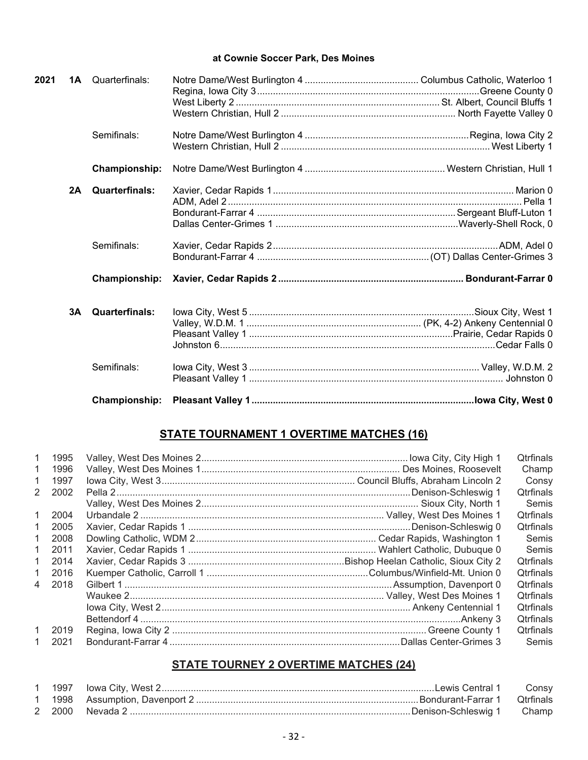## **at Cownie Soccer Park, Des Moines**

| 2021 |    | <b>1A</b> Quarterfinals: |  |
|------|----|--------------------------|--|
|      |    |                          |  |
|      |    | Semifinals:              |  |
|      |    | Championship:            |  |
|      | 2A | <b>Quarterfinals:</b>    |  |
|      |    | Semifinals:              |  |
|      |    | Championship:            |  |
|      | 3A | <b>Quarterfinals:</b>    |  |
|      |    | Semifinals:              |  |
|      |    | Championship:            |  |

## **STATE TOURNAMENT 1 OVERTIME MATCHES (16)**

| $\overline{1}$ | 1995 |  | Qtrfinals        |
|----------------|------|--|------------------|
| 1              | 1996 |  | Champ            |
| 1              | 1997 |  | Consy            |
| 2              | 2002 |  | <b>Qtrfinals</b> |
|                |      |  | Semis            |
| $\mathbf{1}$   | 2004 |  | <b>Qtrfinals</b> |
| 1.             | 2005 |  | <b>Qtrfinals</b> |
| 1.             | 2008 |  | Semis            |
| 1.             | 2011 |  | Semis            |
| 1.             | 2014 |  | <b>Otrfinals</b> |
| $\mathbf{1}$   | 2016 |  | <b>Otrfinals</b> |
| $\overline{4}$ | 2018 |  | <b>Qtrfinals</b> |
|                |      |  | <b>Qtrfinals</b> |
|                |      |  | <b>Qtrfinals</b> |
|                |      |  | <b>Otrfinals</b> |
| $\mathbf{1}$   | 2019 |  | <b>Qtrfinals</b> |
| 1.             | 2021 |  | Semis            |

## **STATE TOURNEY 2 OVERTIME MATCHES (24)**

|  | Consy |
|--|-------|
|  |       |
|  |       |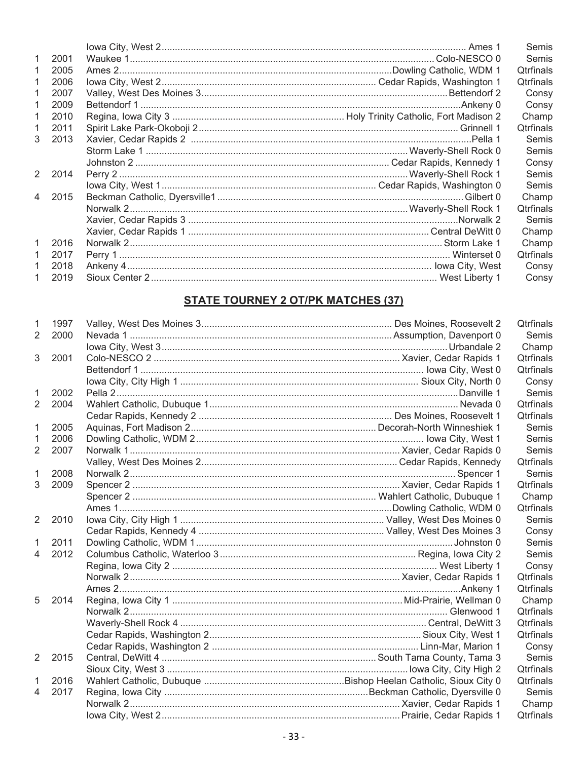|                |        |  | Semis            |
|----------------|--------|--|------------------|
| 1              | 2001   |  | Semis            |
| 1              | 2005   |  | <b>Qtrfinals</b> |
|                | 2006   |  | <b>Qtrfinals</b> |
|                | 2007   |  | Consy            |
|                | 2009   |  | Consy            |
| 1              | 2010   |  | Champ            |
| 1              | 2011   |  | <b>Qtrfinals</b> |
| 3              | 2013   |  | Semis            |
|                |        |  | Semis            |
|                |        |  | Consy            |
|                | 2 2014 |  | Semis            |
|                |        |  | Semis            |
| $\overline{4}$ | 2015   |  | Champ            |
|                |        |  | <b>Qtrfinals</b> |
|                |        |  | Semis            |
|                |        |  | Champ            |
| $\mathbf{1}$   | 2016   |  | Champ            |
| 1              | 2017   |  | <b>Qtrfinals</b> |
|                | 2018   |  | Consy            |
|                | 2019   |  | Consy            |

## **STATE TOURNEY 2 OT/PK MATCHES (37)**

| 1              | 1997 |  | Qtrfinals        |
|----------------|------|--|------------------|
| $\overline{2}$ | 2000 |  | Semis            |
|                |      |  | Champ            |
| 3              | 2001 |  | Qtrfinals        |
|                |      |  | <b>Qtrfinals</b> |
|                |      |  | Consy            |
| 1              | 2002 |  | Semis            |
| $\overline{2}$ | 2004 |  | Qtrfinals        |
|                |      |  | Qtrfinals        |
| 1              | 2005 |  | Semis            |
| 1              | 2006 |  | Semis            |
| 2              | 2007 |  | Semis            |
|                |      |  | Qtrfinals        |
| 1              | 2008 |  | Semis            |
| 3              | 2009 |  | <b>Qtrfinals</b> |
|                |      |  | Champ            |
|                |      |  | Qtrfinals        |
| $\overline{2}$ | 2010 |  | Semis            |
|                |      |  | Consy            |
| 1              | 2011 |  | Semis            |
| $\overline{4}$ | 2012 |  | Semis            |
|                |      |  | Consy            |
|                |      |  | Qtrfinals        |
|                |      |  | <b>Qtrfinals</b> |
| 5              | 2014 |  | Champ            |
|                |      |  | Qtrfinals        |
|                |      |  | Qtrfinals        |
|                |      |  | Qtrfinals        |
|                |      |  | Consy            |
| 2              | 2015 |  | Semis            |
|                |      |  | Qtrfinals        |
| 1              | 2016 |  | <b>Qtrfinals</b> |
| 4              | 2017 |  | Semis            |
|                |      |  | Champ            |
|                |      |  | Qtrfinals        |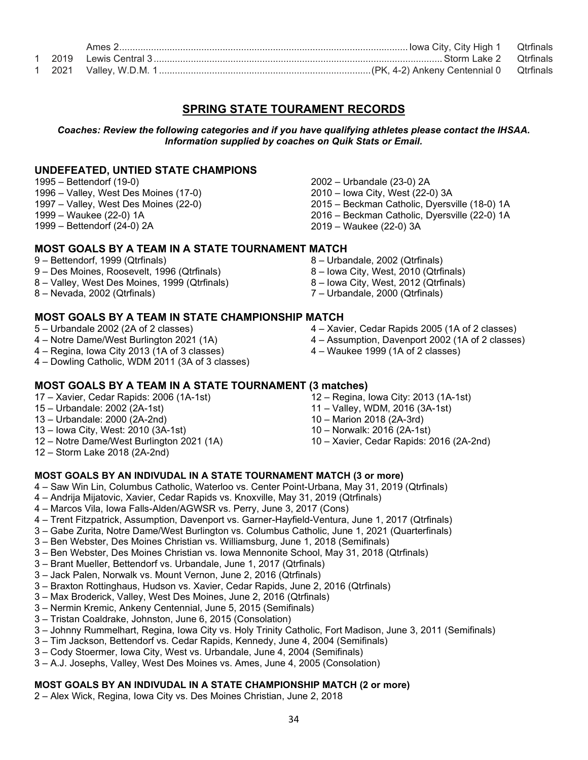## **SPRING STATE TOURAMENT RECORDS**

*Coaches: Review the following categories and if you have qualifying athletes please contact the IHSAA. Information supplied by coaches on Quik Stats or Email.*

## **UNDEFEATED, UNTIED STATE CHAMPIONS**

1995 – Bettendorf (19-0)

- 1996 Valley, West Des Moines (17-0)
- 1997 Valley, West Des Moines (22-0)
- 1999 Waukee (22-0) 1A
- 1999 Bettendorf (24-0) 2A

## **MOST GOALS BY A TEAM IN A STATE TOURNAMENT MATCH**

- 9 Bettendorf, 1999 (Qtrfinals)
- 9 Des Moines, Roosevelt, 1996 (Qtrfinals)
- 8 Valley, West Des Moines, 1999 (Qtrfinals)
- 8 Nevada, 2002 (Qtrfinals)

## **MOST GOALS BY A TEAM IN STATE CHAMPIONSHIP MATCH**

- 5 Urbandale 2002 (2A of 2 classes)
- 4 Notre Dame/West Burlington 2021 (1A)
- 4 Regina, Iowa City 2013 (1A of 3 classes)
- 4 Dowling Catholic, WDM 2011 (3A of 3 classes)

#### **MOST GOALS BY A TEAM IN A STATE TOURNAMENT (3 matches)** 12 – Regina, Iowa City: 2013 (1A-1st)

- 17 Xavier, Cedar Rapids: 2006 (1A-1st)
- 15 Urbandale: 2002 (2A-1st)
- 13 Urbandale: 2000 (2A-2nd)
- 13 Iowa City, West: 2010 (3A-1st)
- 12 Notre Dame/West Burlington 2021 (1A)
- 12 Storm Lake 2018 (2A-2nd)
- **MOST GOALS BY AN INDIVUDAL IN A STATE TOURNAMENT MATCH (3 or more)**
- 4 Saw Win Lin, Columbus Catholic, Waterloo vs. Center Point-Urbana, May 31, 2019 (Qtrfinals)
- 4 Andrija Mijatovic, Xavier, Cedar Rapids vs. Knoxville, May 31, 2019 (Qtrfinals)
- 4 Marcos Vila, Iowa Falls-Alden/AGWSR vs. Perry, June 3, 2017 (Cons)
- 4 Trent Fitzpatrick, Assumption, Davenport vs. Garner-Hayfield-Ventura, June 1, 2017 (Qtrfinals)
- 3 Gabe Zurita, Notre Dame/West Burlington vs. Columbus Catholic, June 1, 2021 (Quarterfinals)
- 3 Ben Webster, Des Moines Christian vs. Williamsburg, June 1, 2018 (Semifinals)
- 3 Ben Webster, Des Moines Christian vs. Iowa Mennonite School, May 31, 2018 (Qtrfinals)
- 3 Brant Mueller, Bettendorf vs. Urbandale, June 1, 2017 (Qtrfinals)
- 3 Jack Palen, Norwalk vs. Mount Vernon, June 2, 2016 (Qtrfinals)
- 3 Braxton Rottinghaus, Hudson vs. Xavier, Cedar Rapids, June 2, 2016 (Qtrfinals)
- 3 Max Broderick, Valley, West Des Moines, June 2, 2016 (Qtrfinals)
- 3 Nermin Kremic, Ankeny Centennial, June 5, 2015 (Semifinals)
- 3 Tristan Coaldrake, Johnston, June 6, 2015 (Consolation)
- 3 Johnny Rummelhart, Regina, Iowa City vs. Holy Trinity Catholic, Fort Madison, June 3, 2011 (Semifinals)
- 3 Tim Jackson, Bettendorf vs. Cedar Rapids, Kennedy, June 4, 2004 (Semifinals)
- 3 Cody Stoermer, Iowa City, West vs. Urbandale, June 4, 2004 (Semifinals)
- 3 A.J. Josephs, Valley, West Des Moines vs. Ames, June 4, 2005 (Consolation)

#### **MOST GOALS BY AN INDIVUDAL IN A STATE CHAMPIONSHIP MATCH (2 or more)**

2 – Alex Wick, Regina, Iowa City vs. Des Moines Christian, June 2, 2018

- 2002 Urbandale (23-0) 2A 2010 – Iowa City, West (22-0) 3A 2015 – Beckman Catholic, Dyersville (18-0) 1A 2016 – Beckman Catholic, Dyersville (22-0) 1A 2019 – Waukee (22-0) 3A
- 8 Urbandale, 2002 (Qtrfinals)
- 8 Iowa City, West, 2010 (Qtrfinals)
- 8 Iowa City, West, 2012 (Qtrfinals)
- 7 Urbandale, 2000 (Qtrfinals)
- 4 Xavier, Cedar Rapids 2005 (1A of 2 classes)
- 4 Assumption, Davenport 2002 (1A of 2 classes)
- 4 Waukee 1999 (1A of 2 classes)

11 – Valley, WDM, 2016 (3A-1st) 10 – Marion 2018 (2A-3rd) 10 – Norwalk: 2016 (2A-1st)

10 – Xavier, Cedar Rapids: 2016 (2A-2nd)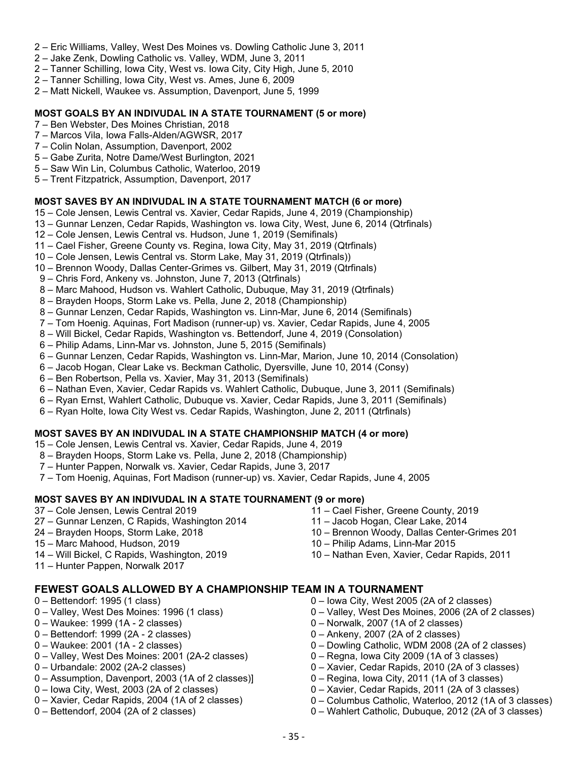- 2 Eric Williams, Valley, West Des Moines vs. Dowling Catholic June 3, 2011
- 2 Jake Zenk, Dowling Catholic vs. Valley, WDM, June 3, 2011
- 2 Tanner Schilling, Iowa City, West vs. Iowa City, City High, June 5, 2010
- 2 Tanner Schilling, Iowa City, West vs. Ames, June 6, 2009
- 2 Matt Nickell, Waukee vs. Assumption, Davenport, June 5, 1999

#### **MOST GOALS BY AN INDIVUDAL IN A STATE TOURNAMENT (5 or more)**

- 7 Ben Webster, Des Moines Christian, 2018
- 7 Marcos Vila, Iowa Falls-Alden/AGWSR, 2017
- 7 Colin Nolan, Assumption, Davenport, 2002
- 5 Gabe Zurita, Notre Dame/West Burlington, 2021
- 5 Saw Win Lin, Columbus Catholic, Waterloo, 2019
- 5 Trent Fitzpatrick, Assumption, Davenport, 2017

## **MOST SAVES BY AN INDIVUDAL IN A STATE TOURNAMENT MATCH (6 or more)**

- 15 Cole Jensen, Lewis Central vs. Xavier, Cedar Rapids, June 4, 2019 (Championship)
- 13 Gunnar Lenzen, Cedar Rapids, Washington vs. Iowa City, West, June 6, 2014 (Qtrfinals)
- 12 Cole Jensen, Lewis Central vs. Hudson, June 1, 2019 (Semifinals)
- 11 Cael Fisher, Greene County vs. Regina, Iowa City, May 31, 2019 (Qtrfinals)
- 10 Cole Jensen, Lewis Central vs. Storm Lake, May 31, 2019 (Qtrfinals))
- 10 Brennon Woody, Dallas Center-Grimes vs. Gilbert, May 31, 2019 (Qtrfinals)
- 9 Chris Ford, Ankeny vs. Johnston, June 7, 2013 (Qtrfinals)
- 8 Marc Mahood, Hudson vs. Wahlert Catholic, Dubuque, May 31, 2019 (Qtrfinals)
- 8 Brayden Hoops, Storm Lake vs. Pella, June 2, 2018 (Championship)
- 8 Gunnar Lenzen, Cedar Rapids, Washington vs. Linn-Mar, June 6, 2014 (Semifinals)
- 7 Tom Hoenig. Aquinas, Fort Madison (runner-up) vs. Xavier, Cedar Rapids, June 4, 2005
- 8 Will Bickel, Cedar Rapids, Washington vs. Bettendorf, June 4, 2019 (Consolation)
- 6 Philip Adams, Linn-Mar vs. Johnston, June 5, 2015 (Semifinals)
- 6 Gunnar Lenzen, Cedar Rapids, Washington vs. Linn-Mar, Marion, June 10, 2014 (Consolation)
- 6 Jacob Hogan, Clear Lake vs. Beckman Catholic, Dyersville, June 10, 2014 (Consy)
- 6 Ben Robertson, Pella vs. Xavier, May 31, 2013 (Semifinals)
- 6 Nathan Even, Xavier, Cedar Rapids vs. Wahlert Catholic, Dubuque, June 3, 2011 (Semifinals)
- 6 Ryan Ernst, Wahlert Catholic, Dubuque vs. Xavier, Cedar Rapids, June 3, 2011 (Semifinals)
- 6 Ryan Holte, Iowa City West vs. Cedar Rapids, Washington, June 2, 2011 (Qtrfinals)

#### **MOST SAVES BY AN INDIVUDAL IN A STATE CHAMPIONSHIP MATCH (4 or more)**

- 15 Cole Jensen, Lewis Central vs. Xavier, Cedar Rapids, June 4, 2019
- 8 Brayden Hoops, Storm Lake vs. Pella, June 2, 2018 (Championship)
- 7 Hunter Pappen, Norwalk vs. Xavier, Cedar Rapids, June 3, 2017
- 7 Tom Hoenig, Aquinas, Fort Madison (runner-up) vs. Xavier, Cedar Rapids, June 4, 2005

#### **MOST SAVES BY AN INDIVUDAL IN A STATE TOURNAMENT (9 or more)**

- 37 Cole Jensen, Lewis Central 2019
- 27 Gunnar Lenzen, C Rapids, Washington 2014
- 24 Brayden Hoops, Storm Lake, 2018
- 15 Marc Mahood, Hudson, 2019
- 14 Will Bickel, C Rapids, Washington, 2019
- 11 Hunter Pappen, Norwalk 2017

## **FEWEST GOALS ALLOWED BY A CHAMPIONSHIP TEAM IN A TOURNAMENT**

- 0 Bettendorf: 1995 (1 class)
- 0 Valley, West Des Moines: 1996 (1 class)
- 0 Waukee: 1999 (1A 2 classes)
- 0 Bettendorf: 1999 (2A 2 classes)
- 0 Waukee: 2001 (1A 2 classes)
- 0 Valley, West Des Moines: 2001 (2A-2 classes)
- 0 Urbandale: 2002 (2A-2 classes)
- 0 Assumption, Davenport, 2003 (1A of 2 classes)]
- 0 Iowa City, West, 2003 (2A of 2 classes)
- 0 Xavier, Cedar Rapids, 2004 (1A of 2 classes)
- 0 Bettendorf, 2004 (2A of 2 classes)
- 11 Cael Fisher, Greene County, 2019
- 11 Jacob Hogan, Clear Lake, 2014
- 10 Brennon Woody, Dallas Center-Grimes 201
- 10 Philip Adams, Linn-Mar 2015
- 10 Nathan Even, Xavier, Cedar Rapids, 2011
- 0 Iowa City, West 2005 (2A of 2 classes)
- 0 Valley, West Des Moines, 2006 (2A of 2 classes)
- 0 Norwalk, 2007 (1A of 2 classes)
- 0 Ankeny, 2007 (2A of 2 classes)
- 0 Dowling Catholic, WDM 2008 (2A of 2 classes)
- 0 Regna, Iowa City 2009 (1A of 3 classes)
- 0 Xavier, Cedar Rapids, 2010 (2A of 3 classes)
- 0 Regina, Iowa City, 2011 (1A of 3 classes)
- 0 Xavier, Cedar Rapids, 2011 (2A of 3 classes)
- 0 Columbus Catholic, Waterloo, 2012 (1A of 3 classes)
- 0 Wahlert Catholic, Dubuque, 2012 (2A of 3 classes)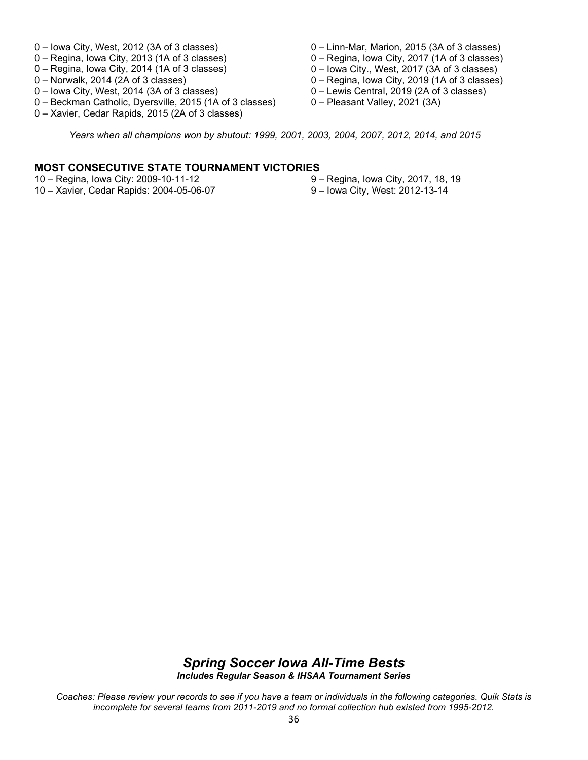- 0 Iowa City, West, 2012 (3A of 3 classes)
- 0 Regina, Iowa City, 2013 (1A of 3 classes)
- 0 Regina, Iowa City, 2014 (1A of 3 classes)
- 0 Norwalk, 2014 (2A of 3 classes)
- 0 Iowa City, West, 2014 (3A of 3 classes)
- 0 Beckman Catholic, Dyersville, 2015 (1A of 3 classes)
- 0 Xavier, Cedar Rapids, 2015 (2A of 3 classes)
- 0 Linn-Mar, Marion, 2015 (3A of 3 classes)
- 0 Regina, Iowa City, 2017 (1A of 3 classes)
- 0 Iowa City., West, 2017 (3A of 3 classes)
- 0 Regina, Iowa City, 2019 (1A of 3 classes)
- 0 Lewis Central, 2019 (2A of 3 classes)
- 0 Pleasant Valley, 2021 (3A)

*Years when all champions won by shutout: 1999, 2001, 2003, 2004, 2007, 2012, 2014, and 2015*

### **MOST CONSECUTIVE STATE TOURNAMENT VICTORIES**

- 10 Regina, Iowa City: 2009-10-11-12
- 10 Xavier, Cedar Rapids: 2004-05-06-07
- 9 Regina, Iowa City, 2017, 18, 19
- 9 Iowa City, West: 2012-13-14

## *Spring Soccer Iowa All-Time Bests Includes Regular Season & IHSAA Tournament Series*

*Coaches: Please review your records to see if you have a team or individuals in the following categories. Quik Stats is incomplete for several teams from 2011-2019 and no formal collection hub existed from 1995-2012.*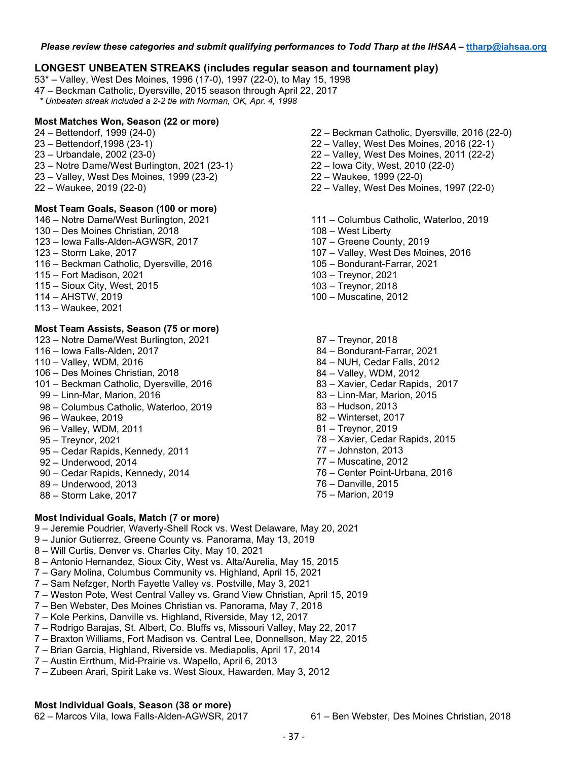## **LONGEST UNBEATEN STREAKS (includes regular season and tournament play)**

53\* – Valley, West Des Moines, 1996 (17-0), 1997 (22-0), to May 15, 1998

47 – Beckman Catholic, Dyersville, 2015 season through April 22, 2017

 *\* Unbeaten streak included a 2-2 tie with Norman, OK, Apr. 4, 1998*

#### **Most Matches Won, Season (22 or more)**

- 24 Bettendorf, 1999 (24-0)
- 23 Bettendorf,1998 (23-1)
- 23 Urbandale, 2002 (23-0)
- 23 Notre Dame/West Burlington, 2021 (23-1)
- 23 Valley, West Des Moines, 1999 (23-2)
- 22 Waukee, 2019 (22-0)

#### **Most Team Goals, Season (100 or more)**

- 146 Notre Dame/West Burlington, 2021
- 130 Des Moines Christian, 2018
- 123 Iowa Falls-Alden-AGWSR, 2017
- 123 Storm Lake, 2017
- 116 Beckman Catholic, Dyersville, 2016
- 115 Fort Madison, 2021
- 115 Sioux City, West, 2015
- 114 AHSTW, 2019
- 113 Waukee, 2021

### **Most Team Assists, Season (75 or more)**

- 123 Notre Dame/West Burlington, 2021
- 116 Iowa Falls-Alden, 2017
- 110 Valley, WDM, 2016
- 106 Des Moines Christian, 2018
- 101 Beckman Catholic, Dyersville, 2016
- 99 Linn-Mar, Marion, 2016
- 98 Columbus Catholic, Waterloo, 2019
- 96 Waukee, 2019
- 96 Valley, WDM, 2011
- 95 Treynor, 2021
- 95 Cedar Rapids, Kennedy, 2011
- 92 Underwood, 2014
- 90 Cedar Rapids, Kennedy, 2014
- 89 Underwood, 2013
- 88 Storm Lake, 2017

## **Most Individual Goals, Match (7 or more)**

- 9 Jeremie Poudrier, Waverly-Shell Rock vs. West Delaware, May 20, 2021
- 9 Junior Gutierrez, Greene County vs. Panorama, May 13, 2019
- 8 Will Curtis, Denver vs. Charles City, May 10, 2021
- 8 Antonio Hernandez, Sioux City, West vs. Alta/Aurelia, May 15, 2015
- 7 Gary Molina, Columbus Community vs. Highland, April 15, 2021
- 7 Sam Nefzger, North Fayette Valley vs. Postville, May 3, 2021
- 7 Weston Pote, West Central Valley vs. Grand View Christian, April 15, 2019
- 7 Ben Webster, Des Moines Christian vs. Panorama, May 7, 2018
- 7 Kole Perkins, Danville vs. Highland, Riverside, May 12, 2017
- 7 Rodrigo Barajas, St. Albert, Co. Bluffs vs, Missouri Valley, May 22, 2017
- 7 Braxton Williams, Fort Madison vs. Central Lee, Donnellson, May 22, 2015
- 7 Brian Garcia, Highland, Riverside vs. Mediapolis, April 17, 2014
- 7 Austin Errthum, Mid-Prairie vs. Wapello, April 6, 2013
- 7 Zubeen Arari, Spirit Lake vs. West Sioux, Hawarden, May 3, 2012

#### **Most Individual Goals, Season (38 or more)**

62 – Marcos Vila, Iowa Falls-Alden-AGWSR, 2017 61 – Ben Webster, Des Moines Christian, 2018

- 22 Beckman Catholic, Dyersville, 2016 (22-0)
- 22 Valley, West Des Moines, 2016 (22-1)
- 22 Valley, West Des Moines, 2011 (22-2)
- 22 Iowa City, West, 2010 (22-0)
- 22 Waukee, 1999 (22-0)
- 22 Valley, West Des Moines, 1997 (22-0)
- 111 Columbus Catholic, Waterloo, 2019
- 108 West Liberty
- 107 Greene County, 2019
- 107 Valley, West Des Moines, 2016
- 105 Bondurant-Farrar, 2021
- 103 Treynor, 2021
- 103 Treynor, 2018
- 100 Muscatine, 2012
- 87 Treynor, 2018
- 84 Bondurant-Farrar, 2021
- 84 NUH, Cedar Falls, 2012
- 84 Valley, WDM, 2012
- 83 Xavier, Cedar Rapids, 2017
- 83 Linn-Mar, Marion, 2015
- 83 Hudson, 2013
- 82 Winterset, 2017
- 81 Treynor, 2019
- 78 Xavier, Cedar Rapids, 2015
- 77 Johnston, 2013
- 77 Muscatine, 2012
- 76 Center Point-Urbana, 2016
- 76 Danville, 2015
- 75 Marion, 2019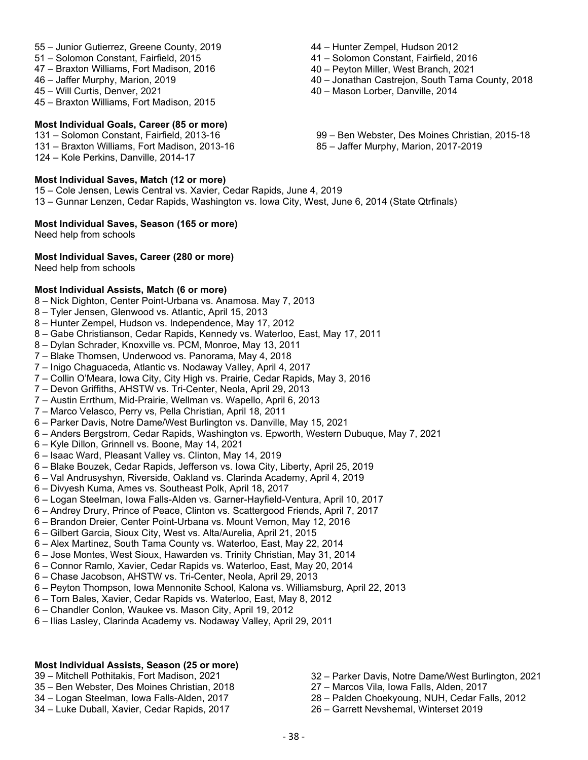- 55 Junior Gutierrez, Greene County, 2019
- 51 Solomon Constant, Fairfield, 2015
- 47 Braxton Williams, Fort Madison, 2016
- 46 Jaffer Murphy, Marion, 2019
- 45 Will Curtis, Denver, 2021
- 45 Braxton Williams, Fort Madison, 2015

#### **Most Individual Goals, Career (85 or more)**

131 – Solomon Constant, Fairfield, 2013-16

- 131 Braxton Williams, Fort Madison, 2013-16
- 124 Kole Perkins, Danville, 2014-17

### **Most Individual Saves, Match (12 or more)**

15 – Cole Jensen, Lewis Central vs. Xavier, Cedar Rapids, June 4, 2019

13 – Gunnar Lenzen, Cedar Rapids, Washington vs. Iowa City, West, June 6, 2014 (State Qtrfinals)

### **Most Individual Saves, Season (165 or more)**

Need help from schools

### **Most Individual Saves, Career (280 or more)**

Need help from schools

### **Most Individual Assists, Match (6 or more)**

- 8 Nick Dighton, Center Point-Urbana vs. Anamosa. May 7, 2013
- 8 Tyler Jensen, Glenwood vs. Atlantic, April 15, 2013
- 8 Hunter Zempel, Hudson vs. Independence, May 17, 2012
- 8 Gabe Christianson, Cedar Rapids, Kennedy vs. Waterloo, East, May 17, 2011
- 8 Dylan Schrader, Knoxville vs. PCM, Monroe, May 13, 2011
- 7 Blake Thomsen, Underwood vs. Panorama, May 4, 2018
- 7 Inigo Chaguaceda, Atlantic vs. Nodaway Valley, April 4, 2017
- 7 Collin O'Meara, Iowa City, City High vs. Prairie, Cedar Rapids, May 3, 2016
- 7 Devon Griffiths, AHSTW vs. Tri-Center, Neola, April 29, 2013
- 7 Austin Errthum, Mid-Prairie, Wellman vs. Wapello, April 6, 2013
- 7 Marco Velasco, Perry vs, Pella Christian, April 18, 2011
- 6 Parker Davis, Notre Dame/West Burlington vs. Danville, May 15, 2021
- 6 Anders Bergstrom, Cedar Rapids, Washington vs. Epworth, Western Dubuque, May 7, 2021
- 6 Kyle Dillon, Grinnell vs. Boone, May 14, 2021
- 6 Isaac Ward, Pleasant Valley vs. Clinton, May 14, 2019
- 6 Blake Bouzek, Cedar Rapids, Jefferson vs. Iowa City, Liberty, April 25, 2019
- 6 Val Andrusyshyn, Riverside, Oakland vs. Clarinda Academy, April 4, 2019
- 6 Divyesh Kuma, Ames vs. Southeast Polk, April 18, 2017
- 6 Logan Steelman, Iowa Falls-Alden vs. Garner-Hayfield-Ventura, April 10, 2017
- 6 Andrey Drury, Prince of Peace, Clinton vs. Scattergood Friends, April 7, 2017
- 6 Brandon Dreier, Center Point-Urbana vs. Mount Vernon, May 12, 2016
- 6 Gilbert Garcia, Sioux City, West vs. Alta/Aurelia, April 21, 2015
- 6 Alex Martinez, South Tama County vs. Waterloo, East, May 22, 2014
- 6 Jose Montes, West Sioux, Hawarden vs. Trinity Christian, May 31, 2014
- 6 Connor Ramlo, Xavier, Cedar Rapids vs. Waterloo, East, May 20, 2014
- 6 Chase Jacobson, AHSTW vs. Tri-Center, Neola, April 29, 2013
- 6 Peyton Thompson, Iowa Mennonite School, Kalona vs. Williamsburg, April 22, 2013
- 6 Tom Bales, Xavier, Cedar Rapids vs. Waterloo, East, May 8, 2012
- 6 Chandler Conlon, Waukee vs. Mason City, April 19, 2012
- 6 Ilias Lasley, Clarinda Academy vs. Nodaway Valley, April 29, 2011

#### **Most Individual Assists, Season (25 or more)**

- 39 Mitchell Pothitakis, Fort Madison, 2021
- 35 Ben Webster, Des Moines Christian, 2018
- 34 Logan Steelman, Iowa Falls-Alden, 2017
- 34 Luke Duball, Xavier, Cedar Rapids, 2017
- 44 Hunter Zempel, Hudson 2012
- 41 Solomon Constant, Fairfield, 2016
- 40 Peyton Miller, West Branch, 2021
- 40 Jonathan Castrejon, South Tama County, 2018
- 40 Mason Lorber, Danville, 2014
- 99 Ben Webster, Des Moines Christian, 2015-18 85 – Jaffer Murphy, Marion, 2017-2019

32 – Parker Davis, Notre Dame/West Burlington, 2021

28 – Palden Choekyoung, NUH, Cedar Falls, 2012

27 – Marcos Vila, Iowa Falls, Alden, 2017

26 – Garrett Nevshemal, Winterset 2019

- 38 -